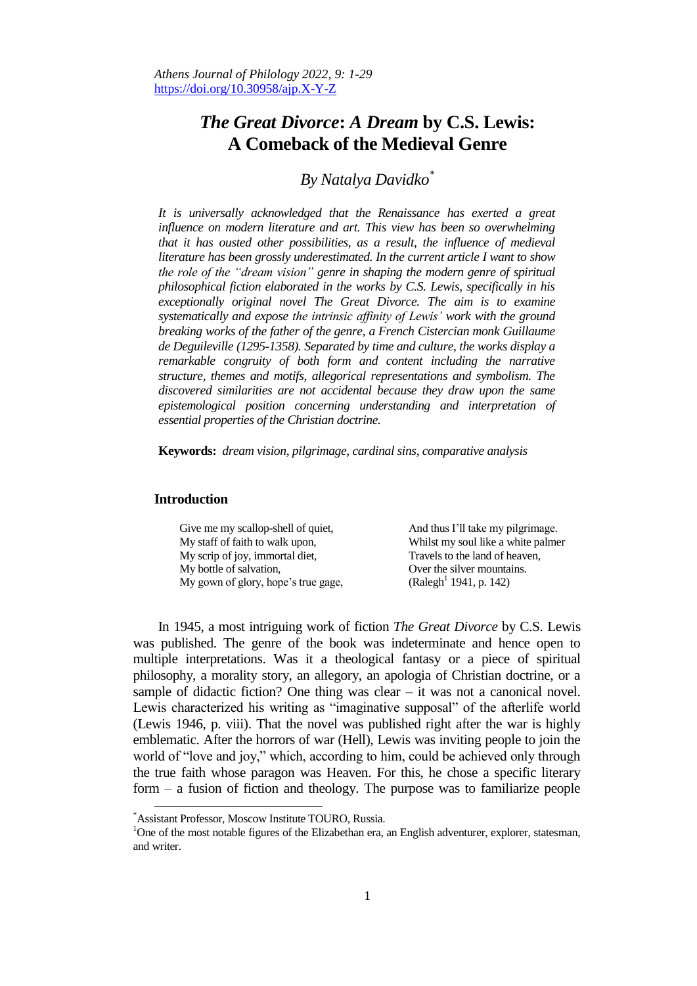# *The Great Divorce***:** *A Dream* **by C.S. Lewis: A Comeback of the Medieval Genre**

# *By Natalya Davidko\**

*It is universally acknowledged that the Renaissance has exerted a great influence on modern literature and art. This view has been so overwhelming that it has ousted other possibilities, as a result, the influence of medieval literature has been grossly underestimated. In the current article I want to show the role of the "dream vision" genre in shaping the modern genre of spiritual philosophical fiction elaborated in the works by C.S. Lewis, specifically in his exceptionally original novel The Great Divorce. The aim is to examine systematically and expose the intrinsic affinity of Lewis' work with the ground breaking works of the father of the genre, a French Cistercian monk Guillaume de Deguileville (1295-1358). Separated by time and culture, the works display a remarkable congruity of both form and content including the narrative structure, themes and motifs, allegorical representations and symbolism. The discovered similarities are not accidental because they draw upon the same epistemological position concerning understanding and interpretation of essential properties of the Christian doctrine.*

**Keywords:** *dream vision, pilgrimage, cardinal sins, comparative analysis*

# **Introduction**

 $\overline{\phantom{a}}$ 

| Give me my scallop-shell of quiet,  | And thus I'll take my pilgrimage.  |
|-------------------------------------|------------------------------------|
| My staff of faith to walk upon,     | Whilst my soul like a white palmer |
| My scrip of joy, immortal diet,     | Travels to the land of heaven,     |
| My bottle of salvation,             | Over the silver mountains.         |
| My gown of glory, hope's true gage, | (Ralegh <sup>1</sup> 1941, p. 142) |

In 1945, a most intriguing work of fiction *The Great Divorce* by C.S. Lewis was published. The genre of the book was indeterminate and hence open to multiple interpretations. Was it a theological fantasy or a piece of spiritual philosophy, a morality story, an allegory, an apologia of Christian doctrine, or a sample of didactic fiction? One thing was clear – it was not a canonical novel. Lewis characterized his writing as "imaginative supposal" of the afterlife world (Lewis 1946, p. viii). That the novel was published right after the war is highly emblematic. After the horrors of war (Hell), Lewis was inviting people to join the world of "love and joy," which, according to him, could be achieved only through the true faith whose paragon was Heaven. For this, he chose a specific literary form – a fusion of fiction and theology. The purpose was to familiarize people

<sup>\*</sup>Assistant Professor, Moscow Institute TOURO, Russia.

<sup>&</sup>lt;sup>1</sup>One of the most notable figures of the Elizabethan era, an English adventurer, explorer, statesman, and writer.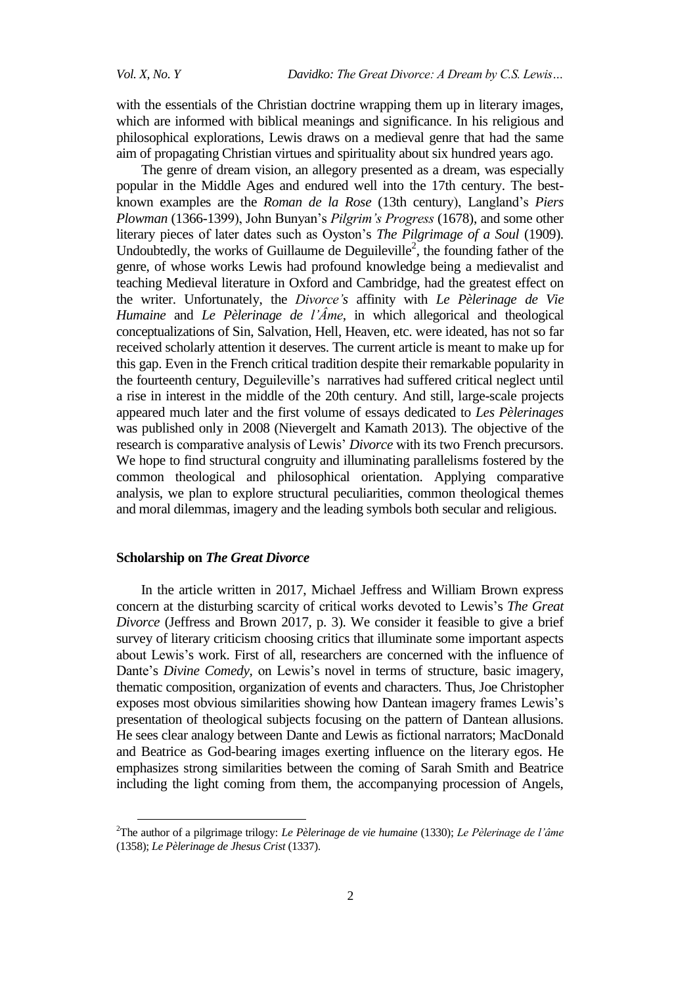with the essentials of the Christian doctrine wrapping them up in literary images, which are informed with biblical meanings and significance. In his religious and philosophical explorations, Lewis draws on a medieval genre that had the same aim of propagating Christian virtues and spirituality about six hundred years ago.

The genre of dream vision, an allegory presented as a dream, was especially popular in the Middle Ages and endured well into the 17th century. The bestknown examples are the *Roman de la Rose* (13th century), Langland's *Piers Plowman* (1366-1399), John Bunyan's *Pilgrim's Progress* (1678), and some other literary pieces of later dates such as Oyston's *The Pilgrimage of a Soul* (1909). Undoubtedly, the works of Guillaume de Deguileville<sup>2</sup>, the founding father of the genre, of whose works Lewis had profound knowledge being a medievalist and teaching Medieval literature in Oxford and Cambridge, had the greatest effect on the writer. Unfortunately, the *Divorce's* affinity with *Le Pèlerinage de Vie Humaine* and *Le Pèlerinage de l'Âme*, in which allegorical and theological conceptualizations of Sin, Salvation, Hell, Heaven, etc. were ideated, has not so far received scholarly attention it deserves. The current article is meant to make up for this gap. Even in the French critical tradition despite their remarkable popularity in the fourteenth century, Deguileville's narratives had suffered critical neglect until a rise in interest in the middle of the 20th century. And still, large-scale projects appeared much later and the first volume of essays dedicated to *Les Pèlerinages* was published only in 2008 (Nievergelt and Kamath 2013). The objective of the research is comparative analysis of Lewis' *Divorce* with its two French precursors. We hope to find structural congruity and illuminating parallelisms fostered by the common theological and philosophical orientation. Applying comparative analysis, we plan to explore structural peculiarities, common theological themes and moral dilemmas, imagery and the leading symbols both secular and religious.

# **Scholarship on** *The Great Divorce*

 $\overline{a}$ 

In the article written in 2017, Michael Jeffress and William Brown express concern at the disturbing scarcity of critical works devoted to Lewis's *The Great Divorce* (Jeffress and Brown 2017, p. 3). We consider it feasible to give a brief survey of literary criticism choosing critics that illuminate some important aspects about Lewis's work. First of all, researchers are concerned with the influence of Dante's *Divine Comedy,* on Lewis's novel in terms of structure, basic imagery, thematic composition, organization of events and characters. Thus, Joe Christopher exposes most obvious similarities showing how Dantean imagery frames Lewis's presentation of theological subjects focusing on the pattern of Dantean allusions. He sees clear analogy between Dante and Lewis as fictional narrators; MacDonald and Beatrice as God-bearing images exerting influence on the literary egos. He emphasizes strong similarities between the coming of Sarah Smith and Beatrice including the light coming from them, the accompanying procession of Angels,

<sup>2</sup>The author of a pilgrimage trilogy: *Le Pèlerinage de vie humaine* (1330); *Le Pèlerinage de l'âme* (1358); *Le Pèlerinage de Jhesus Crist* (1337).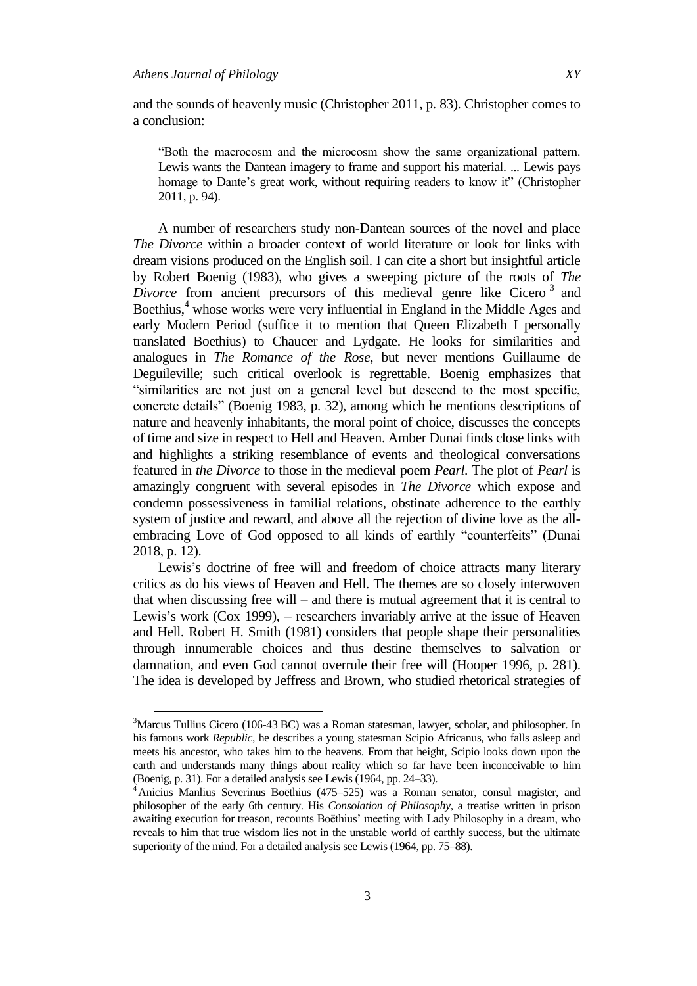$\overline{a}$ 

and the sounds of heavenly music (Christopher 2011, p. 83). Christopher comes to a conclusion:

―Both the macrocosm and the microcosm show the same organizational pattern. Lewis wants the Dantean imagery to frame and support his material. ... Lewis pays homage to Dante's great work, without requiring readers to know it" (Christopher 2011, p. 94).

A number of researchers study non-Dantean sources of the novel and place *The Divorce* within a broader context of world literature or look for links with dream visions produced on the English soil. I can cite a short but insightful article by Robert Boenig (1983), who gives a sweeping picture of the roots of *The*  Divorce from ancient precursors of this medieval genre like Cicero<sup>3</sup> and Boethius,<sup>4</sup> whose works were very influential in England in the Middle Ages and early Modern Period (suffice it to mention that Queen Elizabeth I personally translated Boethius) to Chaucer and Lydgate. He looks for similarities and analogues in *The Romance of the Rose*, but never mentions Guillaume de Deguileville; such critical overlook is regrettable. Boenig emphasizes that ―similarities are not just on a general level but descend to the most specific, concrete details" (Boenig 1983, p. 32), among which he mentions descriptions of nature and heavenly inhabitants, the moral point of choice, discusses the concepts of time and size in respect to Hell and Heaven. Amber Dunai finds close links with and highlights a striking resemblance of events and theological conversations featured in *the Divorce* to those in the medieval poem *Pearl*. The plot of *Pearl* is amazingly congruent with several episodes in *The Divorce* which expose and condemn possessiveness in familial relations, obstinate adherence to the earthly system of justice and reward, and above all the rejection of divine love as the allembracing Love of God opposed to all kinds of earthly "counterfeits" (Dunai 2018, p. 12).

Lewis's doctrine of free will and freedom of choice attracts many literary critics as do his views of Heaven and Hell. The themes are so closely interwoven that when discussing free will – and there is mutual agreement that it is central to Lewis's work (Cox 1999), – researchers invariably arrive at the issue of Heaven and Hell. Robert H. Smith (1981) considers that people shape their personalities through innumerable choices and thus destine themselves to salvation or damnation, and even God cannot overrule their free will (Hooper 1996, p. 281). The idea is developed by Jeffress and Brown, who studied rhetorical strategies of

<sup>&</sup>lt;sup>3</sup>Marcus Tullius Cicero (106-43 BC) was a Roman statesman, lawyer, scholar, and philosopher. In his famous work *Republic,* he describes a young statesman Scipio Africanus, who falls asleep and meets his ancestor, who takes him to the heavens. From that height, Scipio looks down upon the earth and understands many things about reality which so far have been inconceivable to him (Boenig, p. 31). For a detailed analysis see Lewis (1964, pp. 24–33).

<sup>4</sup>Anicius Manlius Severinus Boëthius (475–525) was a Roman senator, consul magister, and philosopher of the early 6th century. His *Consolation of Philosophy*, a treatise written in prison awaiting execution for treason, recounts Boëthius' meeting with Lady Philosophy in a dream, who reveals to him that true wisdom lies not in the unstable world of earthly success, but the ultimate superiority of the mind. For a detailed analysis see Lewis (1964, pp. 75–88).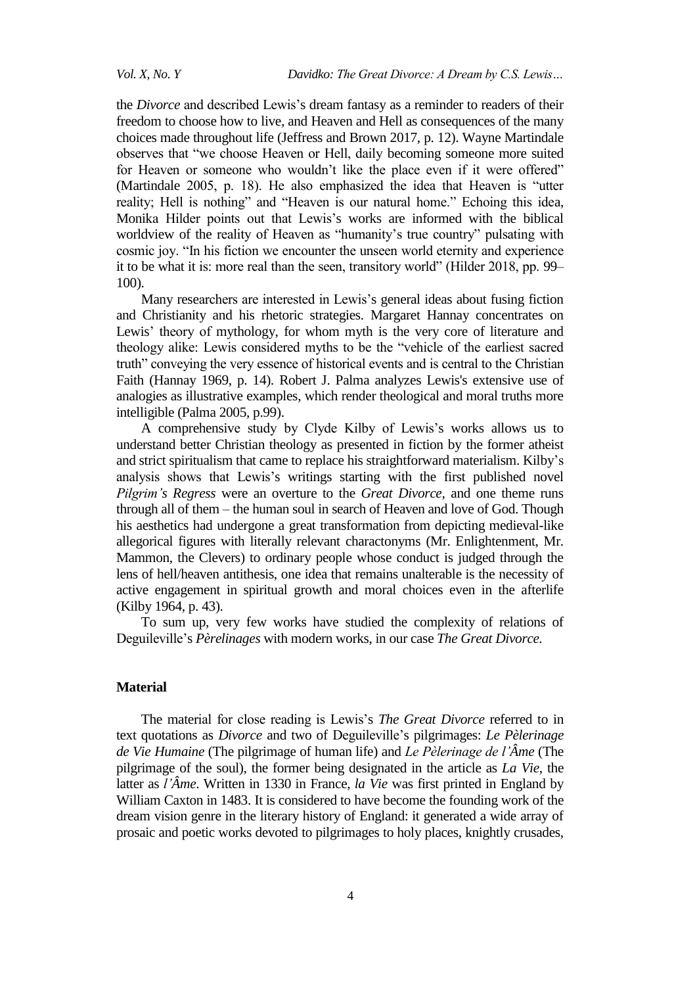the *Divorce* and described Lewis's dream fantasy as a reminder to readers of their freedom to choose how to live, and Heaven and Hell as consequences of the many choices made throughout life (Jeffress and Brown 2017, p. 12). Wayne Martindale observes that "we choose Heaven or Hell, daily becoming someone more suited for Heaven or someone who wouldn't like the place even if it were offered" (Martindale  $2005$ , p. 18). He also emphasized the idea that Heaven is "utter reality; Hell is nothing" and "Heaven is our natural home." Echoing this idea, Monika Hilder points out that Lewis's works are informed with the biblical worldview of the reality of Heaven as "humanity's true country" pulsating with cosmic joy. "In his fiction we encounter the unseen world eternity and experience it to be what it is: more real than the seen, transitory world" (Hilder 2018, pp. 99– 100).

Many researchers are interested in Lewis's general ideas about fusing fiction and Christianity and his rhetoric strategies. Margaret Hannay concentrates on Lewis' theory of mythology, for whom myth is the very core of literature and theology alike: Lewis considered myths to be the "vehicle of the earliest sacred truth" conveying the very essence of historical events and is central to the Christian Faith (Hannay 1969, p. 14). Robert J. Palma analyzes Lewis's extensive use of analogies as illustrative examples, which render theological and moral truths more intelligible (Palma 2005, p.99).

A comprehensive study by Clyde Kilby of Lewis's works allows us to understand better Christian theology as presented in fiction by the former atheist and strict spiritualism that came to replace his straightforward materialism. Kilby's analysis shows that Lewis's writings starting with the first published novel *Pilgrim's Regress* were an overture to the *Great Divorce,* and one theme runs through all of them – the human soul in search of Heaven and love of God. Though his aesthetics had undergone a great transformation from depicting medieval-like allegorical figures with literally relevant charactonyms (Mr. Enlightenment, Mr. Mammon, the Clevers) to ordinary people whose conduct is judged through the lens of hell/heaven antithesis, one idea that remains unalterable is the necessity of active engagement in spiritual growth and moral choices even in the afterlife (Kilby 1964, p. 43).

To sum up, very few works have studied the complexity of relations of Deguileville's *Pèrelinages* with modern works, in our case *The Great Divorce.*

## **Material**

The material for close reading is Lewis's *The Great Divorce* referred to in text quotations as *Divorce* and two of Deguileville's pilgrimages: *Le Pèlerinage de Vie Humaine* (The pilgrimage of human life) and *Le Pèlerinage de l'Âme* (The pilgrimage of the soul), the former being designated in the article as *La Vie*, the latter as *l'Âme*. Written in 1330 in France, *la Vie* was first printed in England by William Caxton in 1483. It is considered to have become the founding work of the dream vision genre in the literary history of England: it generated a wide array of prosaic and poetic works devoted to pilgrimages to holy places, knightly crusades,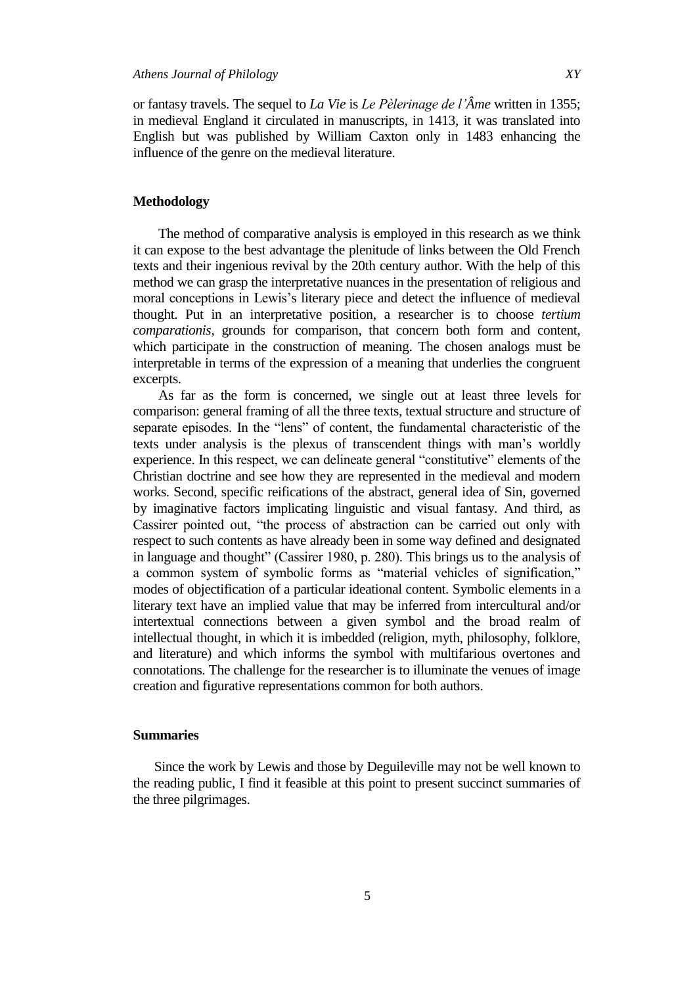in medieval England it circulated in manuscripts, in 1413, it was translated into English but was published by William Caxton only in 1483 enhancing the influence of the genre on the medieval literature.

# **Methodology**

The method of comparative analysis is employed in this research as we think it can expose to the best advantage the plenitude of links between the Old French texts and their ingenious revival by the 20th century author. With the help of this method we can grasp the interpretative nuances in the presentation of religious and moral conceptions in Lewis's literary piece and detect the influence of medieval thought. Put in an interpretative position, a researcher is to choose *tertium comparationis,* grounds for comparison, that concern both form and content, which participate in the construction of meaning. The chosen analogs must be interpretable in terms of the expression of a meaning that underlies the congruent excerpts.

As far as the form is concerned, we single out at least three levels for comparison: general framing of all the three texts, textual structure and structure of separate episodes. In the "lens" of content, the fundamental characteristic of the texts under analysis is the plexus of transcendent things with man's worldly experience. In this respect, we can delineate general "constitutive" elements of the Christian doctrine and see how they are represented in the medieval and modern works. Second, specific reifications of the abstract, general idea of Sin, governed by imaginative factors implicating linguistic and visual fantasy. And third, as Cassirer pointed out, "the process of abstraction can be carried out only with respect to such contents as have already been in some way defined and designated in language and thought" (Cassirer 1980, p. 280). This brings us to the analysis of a common system of symbolic forms as "material vehicles of signification," modes of objectification of a particular ideational content. Symbolic elements in a literary text have an implied value that may be inferred from intercultural and/or intertextual connections between a given symbol and the broad realm of intellectual thought, in which it is imbedded (religion, myth, philosophy, folklore, and literature) and which informs the symbol with multifarious overtones and connotations. The challenge for the researcher is to illuminate the venues of image creation and figurative representations common for both authors.

#### **Summaries**

Since the work by Lewis and those by Deguileville may not be well known to the reading public, I find it feasible at this point to present succinct summaries of the three pilgrimages.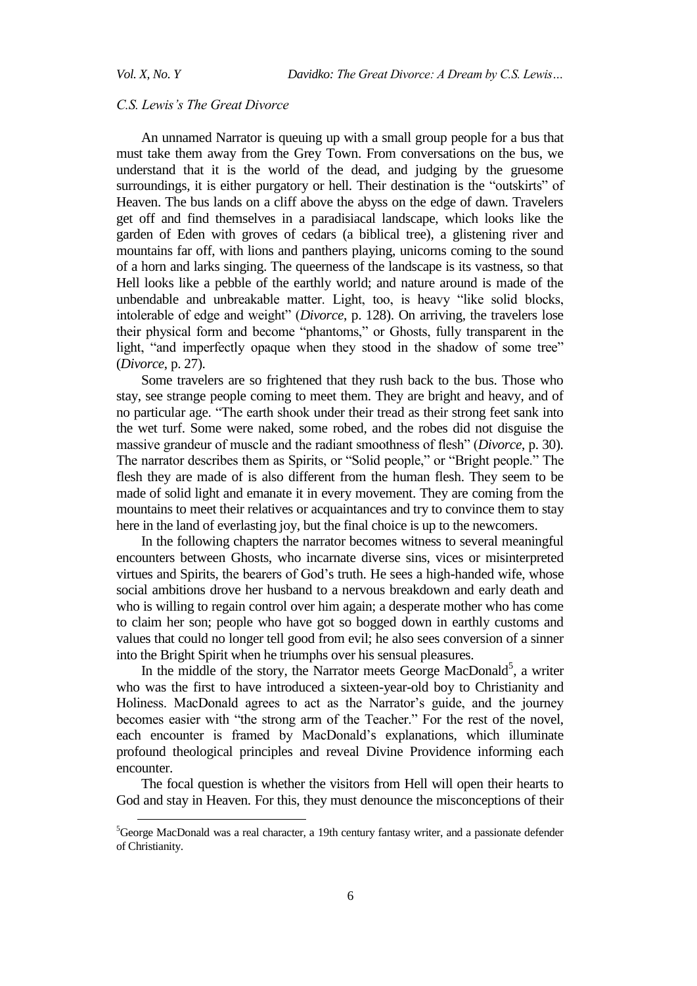$\overline{a}$ 

#### *C.S. Lewis's The Great Divorce*

An unnamed Narrator is queuing up with a small group people for a bus that must take them away from the Grey Town. From conversations on the bus, we understand that it is the world of the dead, and judging by the gruesome surroundings, it is either purgatory or hell. Their destination is the "outskirts" of Heaven. The bus lands on a cliff above the abyss on the edge of dawn. Travelers get off and find themselves in a paradisiacal landscape, which looks like the garden of Eden with groves of cedars (a biblical tree), a glistening river and mountains far off, with lions and panthers playing, unicorns coming to the sound of a horn and larks singing. The queerness of the landscape is its vastness, so that Hell looks like a pebble of the earthly world; and nature around is made of the unbendable and unbreakable matter. Light, too, is heavy "like solid blocks, intolerable of edge and weight" (*Divorce*, p. 128). On arriving, the travelers lose their physical form and become "phantoms," or Ghosts, fully transparent in the light, "and imperfectly opaque when they stood in the shadow of some tree" (*Divorce*, p. 27).

Some travelers are so frightened that they rush back to the bus. Those who stay, see strange people coming to meet them. They are bright and heavy, and of no particular age. "The earth shook under their tread as their strong feet sank into the wet turf. Some were naked, some robed, and the robes did not disguise the massive grandeur of muscle and the radiant smoothness of flesh" (*Divorce*, p. 30). The narrator describes them as Spirits, or "Solid people," or "Bright people." The flesh they are made of is also different from the human flesh. They seem to be made of solid light and emanate it in every movement. They are coming from the mountains to meet their relatives or acquaintances and try to convince them to stay here in the land of everlasting joy, but the final choice is up to the newcomers.

In the following chapters the narrator becomes witness to several meaningful encounters between Ghosts, who incarnate diverse sins, vices or misinterpreted virtues and Spirits, the bearers of God's truth. He sees a high-handed wife, whose social ambitions drove her husband to a nervous breakdown and early death and who is willing to regain control over him again; a desperate mother who has come to claim her son; people who have got so bogged down in earthly customs and values that could no longer tell good from evil; he also sees conversion of a sinner into the Bright Spirit when he triumphs over his sensual pleasures.

In the middle of the story, the Narrator meets George MacDonald<sup>5</sup>, a writer who was the first to have introduced a sixteen-year-old boy to Christianity and Holiness. MacDonald agrees to act as the Narrator's guide, and the journey becomes easier with "the strong arm of the Teacher." For the rest of the novel, each encounter is framed by MacDonald's explanations, which illuminate profound theological principles and reveal Divine Providence informing each encounter.

The focal question is whether the visitors from Hell will open their hearts to God and stay in Heaven. For this, they must denounce the misconceptions of their

<sup>&</sup>lt;sup>5</sup>George MacDonald was a real character, a 19th century fantasy writer, and a passionate defender of Christianity.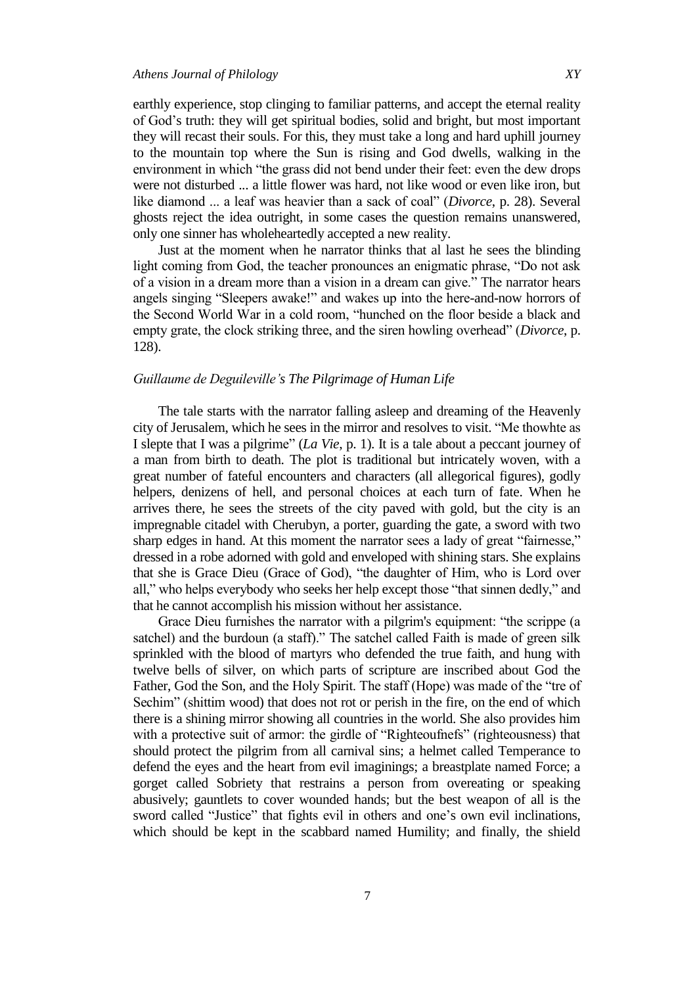earthly experience, stop clinging to familiar patterns, and accept the eternal reality of God's truth: they will get spiritual bodies, solid and bright, but most important they will recast their souls. For this, they must take a long and hard uphill journey to the mountain top where the Sun is rising and God dwells, walking in the environment in which "the grass did not bend under their feet: even the dew drops were not disturbed ... a little flower was hard, not like wood or even like iron, but like diamond ... a leaf was heavier than a sack of coal" (*Divorce*, p. 28). Several ghosts reject the idea outright, in some cases the question remains unanswered, only one sinner has wholeheartedly accepted a new reality.

Just at the moment when he narrator thinks that al last he sees the blinding light coming from God, the teacher pronounces an enigmatic phrase, "Do not ask of a vision in a dream more than a vision in a dream can give." The narrator hears angels singing "Sleepers awake!" and wakes up into the here-and-now horrors of the Second World War in a cold room, "hunched on the floor beside a black and empty grate, the clock striking three, and the siren howling overhead" (*Divorce*, p. 128).

## *Guillaume de Deguileville's The Pilgrimage of Human Life*

The tale starts with the narrator falling asleep and dreaming of the Heavenly city of Jerusalem, which he sees in the mirror and resolves to visit. "Me thowhte as I slepte that I was a pilgrime" (*La Vie*, p. 1). It is a tale about a peccant journey of a man from birth to death. The plot is traditional but intricately woven, with a great number of fateful encounters and characters (all allegorical figures), godly helpers, denizens of hell, and personal choices at each turn of fate. When he arrives there, he sees the streets of the city paved with gold, but the city is an impregnable citadel with Cherubyn, a porter, guarding the gate, a sword with two sharp edges in hand. At this moment the narrator sees a lady of great "fairnesse," dressed in a robe adorned with gold and enveloped with shining stars. She explains that she is Grace Dieu (Grace of God), "the daughter of Him, who is Lord over all," who helps everybody who seeks her help except those "that sinnen dedly," and that he cannot accomplish his mission without her assistance.

Grace Dieu furnishes the narrator with a pilgrim's equipment: "the scrippe (a satchel) and the burdoun (a staff)." The satchel called Faith is made of green silk sprinkled with the blood of martyrs who defended the true faith, and hung with twelve bells of silver, on which parts of scripture are inscribed about God the Father, God the Son, and the Holy Spirit. The staff (Hope) was made of the "tre of Sechim" (shittim wood) that does not rot or perish in the fire, on the end of which there is a shining mirror showing all countries in the world. She also provides him with a protective suit of armor: the girdle of "Righteoufnefs" (righteousness) that should protect the pilgrim from all carnival sins; a helmet called Temperance to defend the eyes and the heart from evil imaginings; a breastplate named Force; a gorget called Sobriety that restrains a person from overeating or speaking abusively; gauntlets to cover wounded hands; but the best weapon of all is the sword called "Justice" that fights evil in others and one's own evil inclinations, which should be kept in the scabbard named Humility; and finally, the shield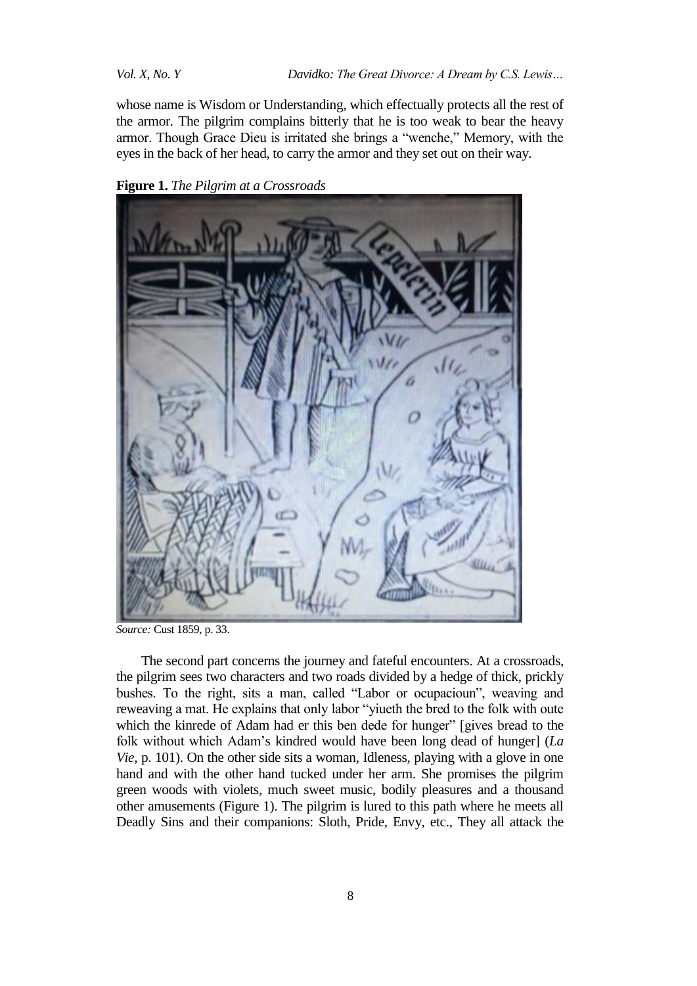whose name is Wisdom or Understanding, which effectually protects all the rest of the armor. The pilgrim complains bitterly that he is too weak to bear the heavy armor. Though Grace Dieu is irritated she brings a "wenche," Memory, with the eyes in the back of her head, to carry the armor and they set out on their way.



**Figure 1.** *The Pilgrim at a Crossroads*

*Source:* Cust 1859, p. 33.

The second part concerns the journey and fateful encounters. At a crossroads, the pilgrim sees two characters and two roads divided by a hedge of thick, prickly bushes. To the right, sits a man, called "Labor or ocupacioun", weaving and reweaving a mat. He explains that only labor "yiueth the bred to the folk with oute which the kinrede of Adam had er this ben dede for hunger" [gives bread to the folk without which Adam's kindred would have been long dead of hunger] (*La Vie*, p. 101). On the other side sits a woman, Idleness, playing with a glove in one hand and with the other hand tucked under her arm. She promises the pilgrim green woods with violets, much sweet music, bodily pleasures and a thousand other amusements (Figure 1). The pilgrim is lured to this path where he meets all Deadly Sins and their companions: Sloth, Pride, Envy, etc., They all attack the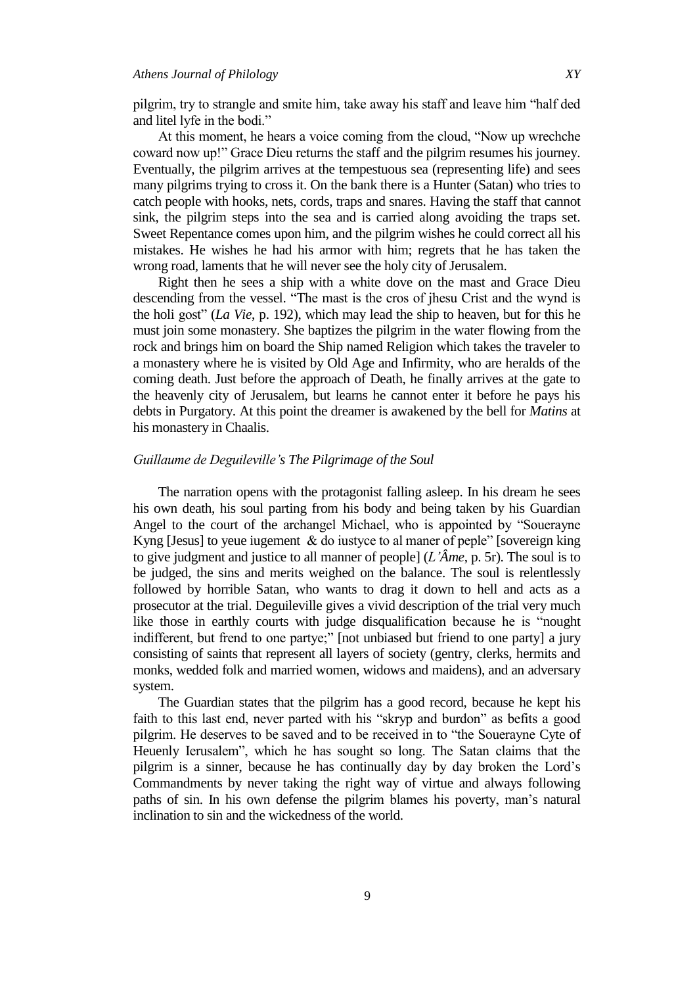pilgrim, try to strangle and smite him, take away his staff and leave him "half ded and litel lyfe in the bodi."

At this moment, he hears a voice coming from the cloud, "Now up wrechche coward now up!" Grace Dieu returns the staff and the pilgrim resumes his journey. Eventually, the pilgrim arrives at the tempestuous sea (representing life) and sees many pilgrims trying to cross it. On the bank there is a Hunter (Satan) who tries to catch people with hooks, nets, cords, traps and snares. Having the staff that cannot sink, the pilgrim steps into the sea and is carried along avoiding the traps set. Sweet Repentance comes upon him, and the pilgrim wishes he could correct all his mistakes. He wishes he had his armor with him; regrets that he has taken the wrong road, laments that he will never see the holy city of Jerusalem.

Right then he sees a ship with a white dove on the mast and Grace Dieu descending from the vessel. "The mast is the cros of jhesu Crist and the wynd is the holi gost" (*La Vie*, p. 192), which may lead the ship to heaven, but for this he must join some monastery. She baptizes the pilgrim in the water flowing from the rock and brings him on board the Ship named Religion which takes the traveler to a monastery where he is visited by Old Age and Infirmity, who are heralds of the coming death. Just before the approach of Death, he finally arrives at the gate to the heavenly city of Jerusalem, but learns he cannot enter it before he pays his debts in Purgatory. At this point the dreamer is awakened by the bell for *Matins* at his monastery in Chaalis.

# *Guillaume de Deguileville's The Pilgrimage of the Soul*

The narration opens with the protagonist falling asleep. In his dream he sees his own death, his soul parting from his body and being taken by his Guardian Angel to the court of the archangel Michael, who is appointed by "Souerayne Kyng [Jesus] to yeue iugement  $\&$  do iustyce to al maner of peple" [sovereign king] to give judgment and justice to all manner of people] (*L'Âme*, p. 5r). The soul is to be judged, the sins and merits weighed on the balance. The soul is relentlessly followed by horrible Satan, who wants to drag it down to hell and acts as a prosecutor at the trial. Deguileville gives a vivid description of the trial very much like those in earthly courts with judge disqualification because he is "nought" indifferent, but frend to one partye;" [not unbiased but friend to one party] a jury consisting of saints that represent all layers of society (gentry, clerks, hermits and monks, wedded folk and married women, widows and maidens), and an adversary system.

The Guardian states that the pilgrim has a good record, because he kept his faith to this last end, never parted with his "skryp and burdon" as befits a good pilgrim. He deserves to be saved and to be received in to "the Souerayne Cyte of Heuenly Ierusalem", which he has sought so long. The Satan claims that the pilgrim is a sinner, because he has continually day by day broken the Lord's Commandments by never taking the right way of virtue and always following paths of sin. In his own defense the pilgrim blames his poverty, man's natural inclination to sin and the wickedness of the world.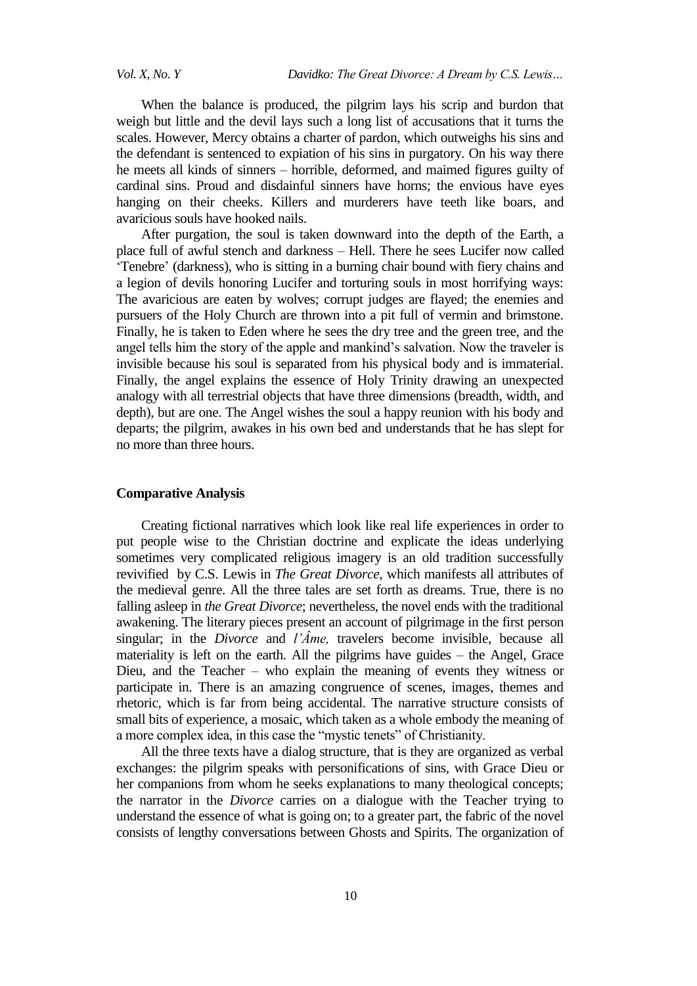When the balance is produced, the pilgrim lays his scrip and burdon that weigh but little and the devil lays such a long list of accusations that it turns the scales. However, Mercy obtains a charter of pardon, which outweighs his sins and the defendant is sentenced to expiation of his sins in purgatory. On his way there he meets all kinds of sinners – horrible, deformed, and maimed figures guilty of cardinal sins. Proud and disdainful sinners have horns; the envious have eyes hanging on their cheeks. Killers and murderers have teeth like boars, and avaricious souls have hooked nails.

After purgation, the soul is taken downward into the depth of the Earth, a place full of awful stench and darkness – Hell. There he sees Lucifer now called ‗Tenebre' (darkness), who is sitting in a burning chair bound with fiery chains and a legion of devils honoring Lucifer and torturing souls in most horrifying ways: The avaricious are eaten by wolves; corrupt judges are flayed; the enemies and pursuers of the Holy Church are thrown into a pit full of vermin and brimstone. Finally, he is taken to Eden where he sees the dry tree and the green tree, and the angel tells him the story of the apple and mankind's salvation. Now the traveler is invisible because his soul is separated from his physical body and is immaterial. Finally, the angel explains the essence of Holy Trinity drawing an unexpected analogy with all terrestrial objects that have three dimensions (breadth, width, and depth), but are one. The Angel wishes the soul a happy reunion with his body and departs; the pilgrim, awakes in his own bed and understands that he has slept for no more than three hours.

## **Comparative Analysis**

Creating fictional narratives which look like real life experiences in order to put people wise to the Christian doctrine and explicate the ideas underlying sometimes very complicated religious imagery is an old tradition successfully revivified by C.S. Lewis in *The Great Divorce,* which manifests all attributes of the medieval genre. All the three tales are set forth as dreams. True, there is no falling asleep in *the Great Divorce*; nevertheless, the novel ends with the traditional awakening. The literary pieces present an account of pilgrimage in the first person singular; in the *Divorce* and *l'Âme,* travelers become invisible, because all materiality is left on the earth. All the pilgrims have guides – the Angel, Grace Dieu, and the Teacher – who explain the meaning of events they witness or participate in. There is an amazing congruence of scenes, images, themes and rhetoric, which is far from being accidental. The narrative structure consists of small bits of experience, a mosaic, which taken as a whole embody the meaning of a more complex idea, in this case the "mystic tenets" of Christianity.

All the three texts have a dialog structure, that is they are organized as verbal exchanges: the pilgrim speaks with personifications of sins, with Grace Dieu or her companions from whom he seeks explanations to many theological concepts; the narrator in the *Divorce* carries on a dialogue with the Teacher trying to understand the essence of what is going on; to a greater part, the fabric of the novel consists of lengthy conversations between Ghosts and Spirits. The organization of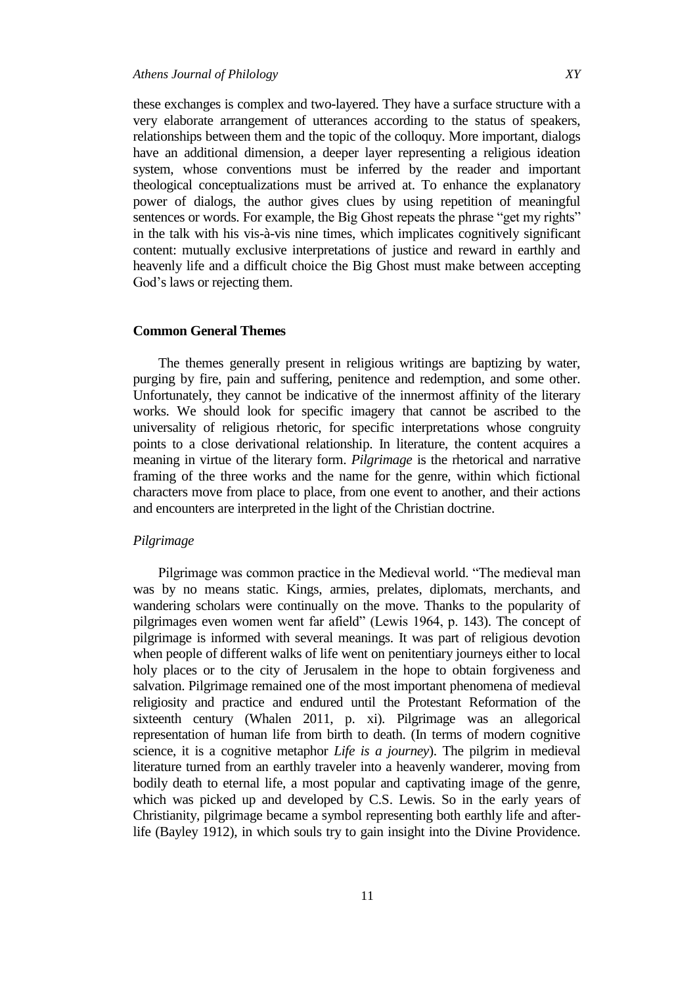these exchanges is complex and two-layered. They have a surface structure with a very elaborate arrangement of utterances according to the status of speakers, relationships between them and the topic of the colloquy. More important, dialogs have an additional dimension, a deeper layer representing a religious ideation system, whose conventions must be inferred by the reader and important theological conceptualizations must be arrived at. To enhance the explanatory power of dialogs, the author gives clues by using repetition of meaningful sentences or words. For example, the Big Ghost repeats the phrase "get my rights" in the talk with his vis-à-vis nine times, which implicates cognitively significant content: mutually exclusive interpretations of justice and reward in earthly and heavenly life and a difficult choice the Big Ghost must make between accepting God's laws or rejecting them.

#### **Common General Themes**

The themes generally present in religious writings are baptizing by water, purging by fire, pain and suffering, penitence and redemption, and some other. Unfortunately, they cannot be indicative of the innermost affinity of the literary works. We should look for specific imagery that cannot be ascribed to the universality of religious rhetoric, for specific interpretations whose congruity points to a close derivational relationship. In literature, the content acquires a meaning in virtue of the literary form. *Pilgrimage* is the rhetorical and narrative framing of the three works and the name for the genre, within which fictional characters move from place to place, from one event to another, and their actions and encounters are interpreted in the light of the Christian doctrine.

# *Pilgrimage*

Pilgrimage was common practice in the Medieval world. "The medieval man was by no means static. Kings, armies, prelates, diplomats, merchants, and wandering scholars were continually on the move. Thanks to the popularity of pilgrimages even women went far afield" (Lewis 1964, p. 143). The concept of pilgrimage is informed with several meanings. It was part of religious devotion when people of different walks of life went on penitentiary journeys either to local holy places or to the city of Jerusalem in the hope to obtain forgiveness and salvation. Pilgrimage remained one of the most important phenomena of medieval religiosity and practice and endured until the Protestant Reformation of the sixteenth century (Whalen 2011, p. xi). Pilgrimage was an allegorical representation of human life from birth to death. (In terms of modern cognitive science, it is a cognitive metaphor *Life is a journey*). The pilgrim in medieval literature turned from an earthly traveler into a heavenly wanderer, moving from bodily death to eternal life, a most popular and captivating image of the genre, which was picked up and developed by C.S. Lewis. So in the early years of Christianity, pilgrimage became a symbol representing both earthly life and afterlife (Bayley 1912), in which souls try to gain insight into the Divine Providence.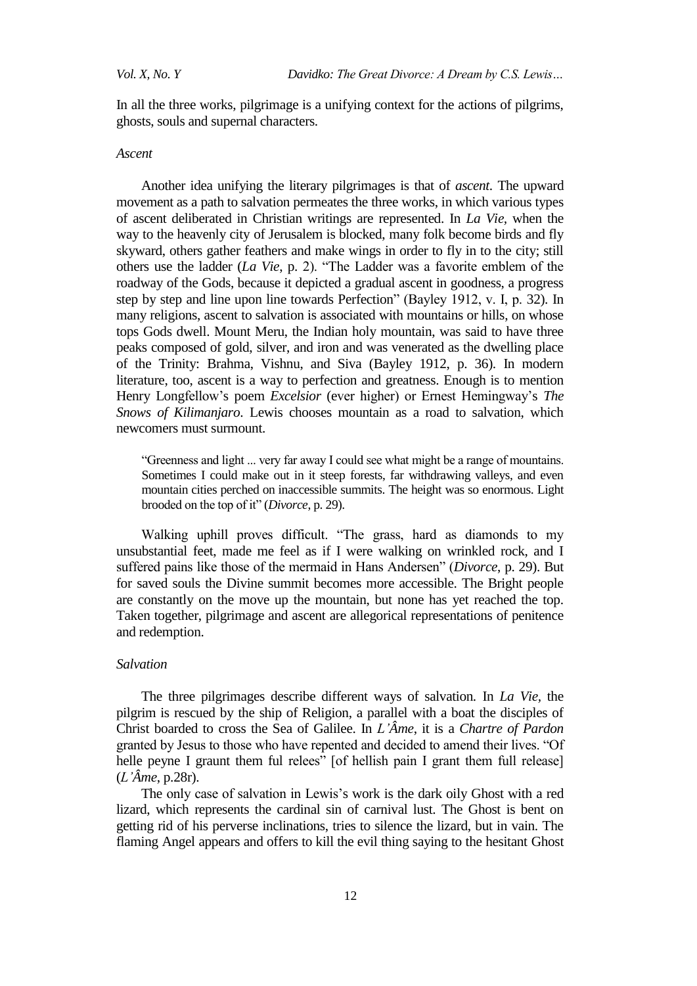In all the three works, pilgrimage is a unifying context for the actions of pilgrims, ghosts, souls and supernal characters.

#### *Ascent*

Another idea unifying the literary pilgrimages is that of *ascent*. The upward movement as a path to salvation permeates the three works, in which various types of ascent deliberated in Christian writings are represented. In *La Vie,* when the way to the heavenly city of Jerusalem is blocked, many folk become birds and fly skyward, others gather feathers and make wings in order to fly in to the city; still others use the ladder (*La Vie*, p. 2). "The Ladder was a favorite emblem of the roadway of the Gods, because it depicted a gradual ascent in goodness, a progress step by step and line upon line towards Perfection" (Bayley 1912, v. I, p. 32). In many religions, ascent to salvation is associated with mountains or hills, on whose tops Gods dwell. Mount Meru, the Indian holy mountain, was said to have three peaks composed of gold, silver, and iron and was venerated as the dwelling place of the Trinity: Brahma, Vishnu, and Siva (Bayley 1912, p. 36). In modern literature, too, ascent is a way to perfection and greatness. Enough is to mention Henry Longfellow's poem *Excelsior* (ever higher) or Ernest Hemingway's *The Snows of Kilimanjaro*. Lewis chooses mountain as a road to salvation, which newcomers must surmount.

―Greenness and light ... very far away I could see what might be a range of mountains. Sometimes I could make out in it steep forests, far withdrawing valleys, and even mountain cities perched on inaccessible summits. The height was so enormous. Light brooded on the top of it" (*Divorce*, p. 29).

Walking uphill proves difficult. "The grass, hard as diamonds to my unsubstantial feet, made me feel as if I were walking on wrinkled rock, and I suffered pains like those of the mermaid in Hans Andersen" (*Divorce*, p. 29). But for saved souls the Divine summit becomes more accessible. The Bright people are constantly on the move up the mountain, but none has yet reached the top. Taken together, pilgrimage and ascent are allegorical representations of penitence and redemption.

#### *Salvation*

The three pilgrimages describe different ways of salvation*.* In *La Vie,* the pilgrim is rescued by the ship of Religion, a parallel with a boat the disciples of Christ boarded to cross the Sea of Galilee. In *L'Âme*, it is a *Chartre of Pardon* granted by Jesus to those who have repented and decided to amend their lives. "Of helle peyne I graunt them ful relees" [of hellish pain I grant them full release] (*L'Âme*, p.28r).

The only case of salvation in Lewis's work is the dark oily Ghost with a red lizard, which represents the cardinal sin of carnival lust. The Ghost is bent on getting rid of his perverse inclinations, tries to silence the lizard, but in vain. The flaming Angel appears and offers to kill the evil thing saying to the hesitant Ghost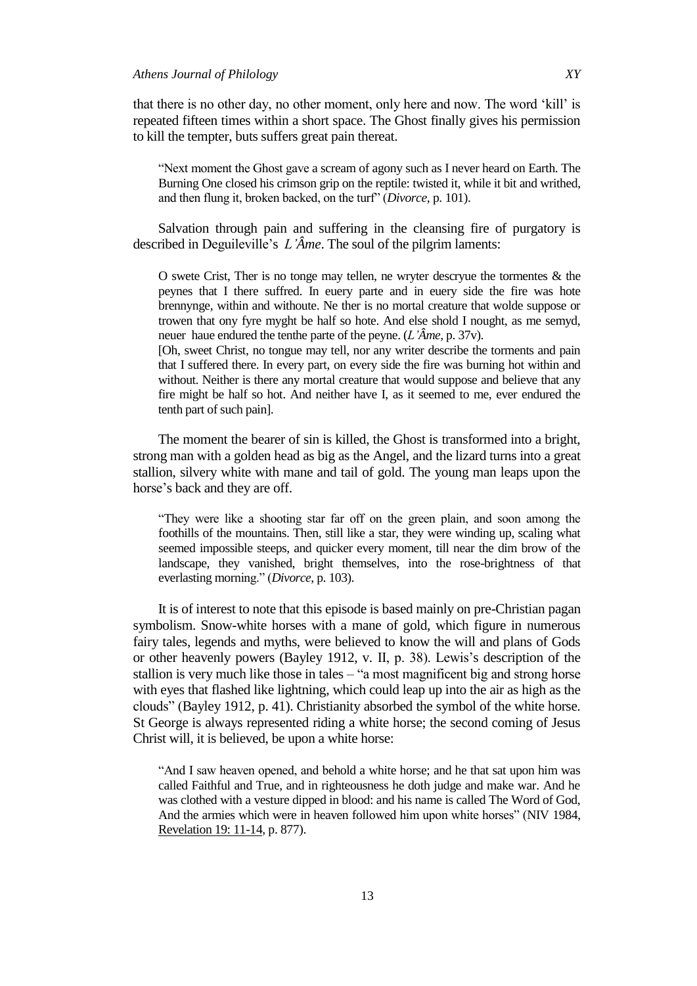that there is no other day, no other moment, only here and now. The word 'kill' is repeated fifteen times within a short space. The Ghost finally gives his permission to kill the tempter, buts suffers great pain thereat.

"Next moment the Ghost gave a scream of agony such as I never heard on Earth. The Burning One closed his crimson grip on the reptile: twisted it, while it bit and writhed, and then flung it, broken backed, on the turf<sup>"</sup> (*Divorce*, p. 101).

Salvation through pain and suffering in the cleansing fire of purgatory is described in Deguileville's *L'Âme*. The soul of the pilgrim laments:

O swete Crist, Ther is no tonge may tellen, ne wryter descryue the tormentes & the peynes that I there suffred. In euery parte and in euery side the fire was hote brennynge, within and withoute. Ne ther is no mortal creature that wolde suppose or trowen that ony fyre myght be half so hote. And else shold I nought, as me semyd, neuer haue endured the tenthe parte of the peyne. (*L'Âme,* p. 37v).

[Oh, sweet Christ, no tongue may tell, nor any writer describe the torments and pain that I suffered there. In every part, on every side the fire was burning hot within and without. Neither is there any mortal creature that would suppose and believe that any fire might be half so hot. And neither have I, as it seemed to me, ever endured the tenth part of such pain].

The moment the bearer of sin is killed, the Ghost is transformed into a bright, strong man with a golden head as big as the Angel, and the lizard turns into a great stallion, silvery white with mane and tail of gold. The young man leaps upon the horse's back and they are off.

―They were like a shooting star far off on the green plain, and soon among the foothills of the mountains. Then, still like a star, they were winding up, scaling what seemed impossible steeps, and quicker every moment, till near the dim brow of the landscape, they vanished, bright themselves, into the rose-brightness of that everlasting morning." (*Divorce*, p. 103).

It is of interest to note that this episode is based mainly on pre-Christian pagan symbolism. Snow-white horses with a mane of gold, which figure in numerous fairy tales, legends and myths, were believed to know the will and plans of Gods or other heavenly powers (Bayley 1912, v. II, p. 38). Lewis's description of the stallion is very much like those in tales – "a most magnificent big and strong horse with eyes that flashed like lightning, which could leap up into the air as high as the clouds‖ (Bayley 1912, p. 41). Christianity absorbed the symbol of the white horse. St George is always represented riding a white horse; the second coming of Jesus Christ will, it is believed, be upon a white horse:

"And I saw heaven opened, and behold a white horse; and he that sat upon him was called Faithful and True, and in righteousness he doth judge and make war. And he was clothed with a vesture dipped in blood: and his name is called The Word of God, And the armies which were in heaven followed him upon white horses" (NIV 1984, Revelation 19: 11-14, p. 877).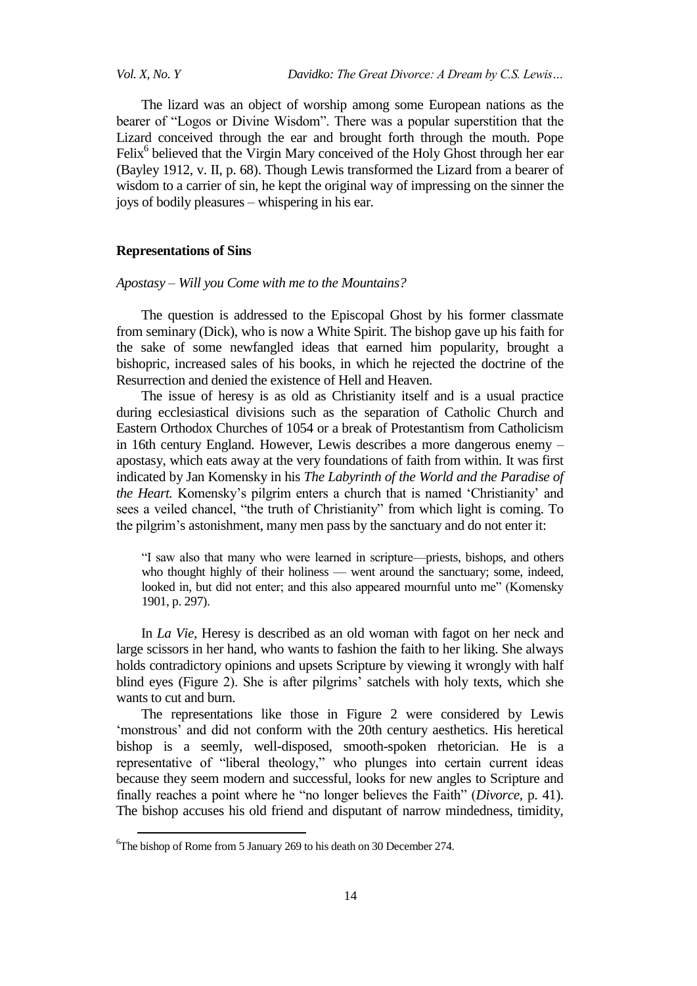*Vol. X, No. Y Davidko: The Great Divorce: A Dream by C.S. Lewis…*

The lizard was an object of worship among some European nations as the bearer of "Logos or Divine Wisdom". There was a popular superstition that the Lizard conceived through the ear and brought forth through the mouth. Pope Felix<sup>6</sup> believed that the Virgin Mary conceived of the Holy Ghost through her ear (Bayley 1912, v. II, p. 68). Though Lewis transformed the Lizard from a bearer of wisdom to a carrier of sin, he kept the original way of impressing on the sinner the joys of bodily pleasures – whispering in his ear.

## **Representations of Sins**

*Apostasy – Will you Come with me to the Mountains?*

The question is addressed to the Episcopal Ghost by his former classmate from seminary (Dick), who is now a White Spirit. The bishop gave up his faith for the sake of some newfangled ideas that earned him popularity, brought a bishopric, increased sales of his books, in which he rejected the doctrine of the Resurrection and denied the existence of Hell and Heaven.

The issue of heresy is as old as Christianity itself and is a usual practice during ecclesiastical divisions such as the separation of Catholic Church and Eastern Orthodox Churches of 1054 or a break of Protestantism from Catholicism in 16th century England. However, Lewis describes a more dangerous enemy – apostasy, which eats away at the very foundations of faith from within. It was first indicated by Jan Komensky in his *The Labyrinth of the World and the Paradise of the Heart.* Komensky's pilgrim enters a church that is named 'Christianity' and sees a veiled chancel, "the truth of Christianity" from which light is coming. To the pilgrim's astonishment, many men pass by the sanctuary and do not enter it:

"I saw also that many who were learned in scripture—priests, bishops, and others who thought highly of their holiness — went around the sanctuary; some, indeed, looked in, but did not enter; and this also appeared mournful unto me" (Komensky 1901, p. 297).

In *La Vie,* Heresy is described as an old woman with fagot on her neck and large scissors in her hand, who wants to fashion the faith to her liking. She always holds contradictory opinions and upsets Scripture by viewing it wrongly with half blind eyes (Figure 2). She is after pilgrims' satchels with holy texts, which she wants to cut and burn.

The representations like those in Figure 2 were considered by Lewis ‗monstrous' and did not conform with the 20th century aesthetics. His heretical bishop is a seemly, well-disposed, smooth-spoken rhetorician. He is a representative of "liberal theology," who plunges into certain current ideas because they seem modern and successful, looks for new angles to Scripture and finally reaches a point where he "no longer believes the Faith" (*Divorce*, p. 41). The bishop accuses his old friend and disputant of narrow mindedness, timidity,

1

<sup>6</sup>The bishop of Rome from 5 January 269 to his death on 30 December 274.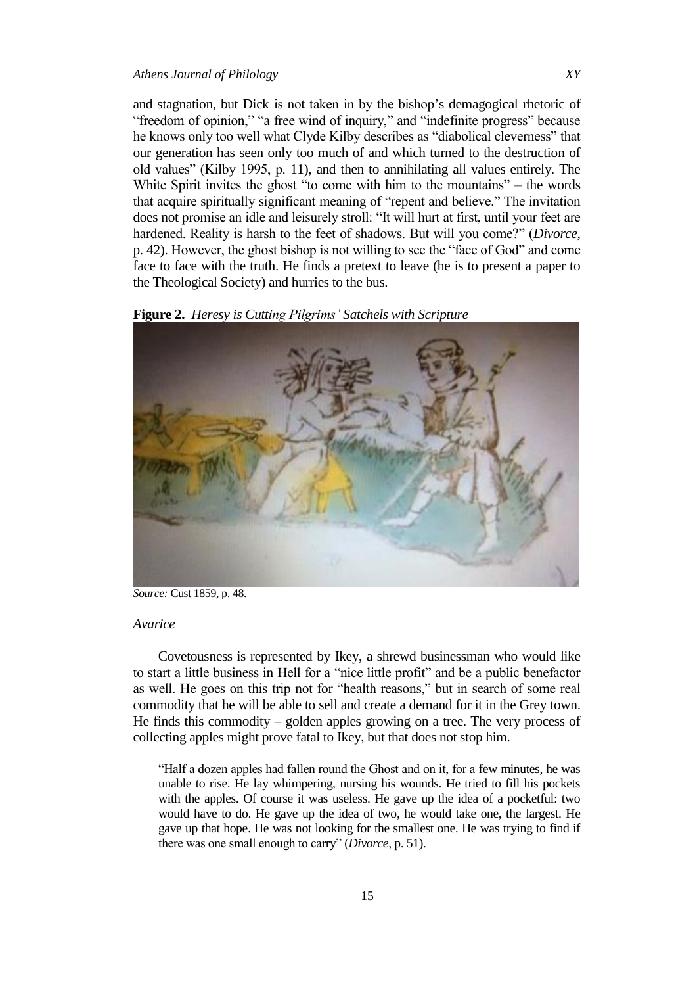and stagnation, but Dick is not taken in by the bishop's demagogical rhetoric of "freedom of opinion," "a free wind of inquiry," and "indefinite progress" because he knows only too well what Clyde Kilby describes as "diabolical cleverness" that our generation has seen only too much of and which turned to the destruction of old values" (Kilby 1995, p. 11), and then to annihilating all values entirely. The White Spirit invites the ghost "to come with him to the mountains" – the words that acquire spiritually significant meaning of "repent and believe." The invitation does not promise an idle and leisurely stroll: "It will hurt at first, until your feet are hardened. Reality is harsh to the feet of shadows. But will you come?" (*Divorce*, p. 42). However, the ghost bishop is not willing to see the "face of God" and come face to face with the truth. He finds a pretext to leave (he is to present a paper to the Theological Society) and hurries to the bus.





*Source:* Cust 1859, p. 48.

#### *Avarice*

Covetousness is represented by Ikey, a shrewd businessman who would like to start a little business in Hell for a "nice little profit" and be a public benefactor as well. He goes on this trip not for "health reasons," but in search of some real commodity that he will be able to sell and create a demand for it in the Grey town. He finds this commodity – golden apples growing on a tree. The very process of collecting apples might prove fatal to Ikey, but that does not stop him.

―Half a dozen apples had fallen round the Ghost and on it, for a few minutes, he was unable to rise. He lay whimpering, nursing his wounds. He tried to fill his pockets with the apples. Of course it was useless. He gave up the idea of a pocketful: two would have to do. He gave up the idea of two, he would take one, the largest. He gave up that hope. He was not looking for the smallest one. He was trying to find if there was one small enough to carry" (*Divorce*, p. 51).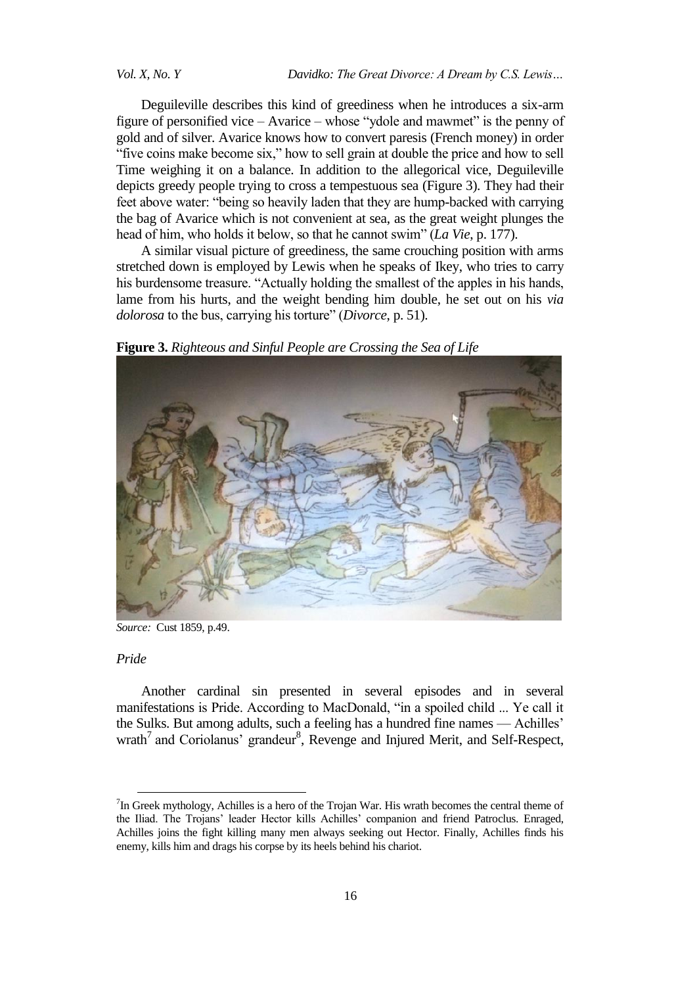Deguileville describes this kind of greediness when he introduces a six-arm figure of personified vice – Avarice – whose "ydole and mawmet" is the penny of gold and of silver. Avarice knows how to convert paresis (French money) in order "five coins make become six," how to sell grain at double the price and how to sell Time weighing it on a balance. In addition to the allegorical vice, Deguileville depicts greedy people trying to cross a tempestuous sea (Figure 3). They had their feet above water: "being so heavily laden that they are hump-backed with carrying the bag of Avarice which is not convenient at sea, as the great weight plunges the head of him, who holds it below, so that he cannot swim" (*La Vie*, p. 177).

A similar visual picture of greediness, the same crouching position with arms stretched down is employed by Lewis when he speaks of Ikey, who tries to carry his burdensome treasure. "Actually holding the smallest of the apples in his hands, lame from his hurts, and the weight bending him double, he set out on his *via dolorosa* to the bus, carrying his torture" (*Divorce*, p. 51).

**Figure 3.** *Righteous and Sinful People are Crossing the Sea of Life*



*Source:* Cust 1859, p.49.

## *Pride*

1

Another cardinal sin presented in several episodes and in several manifestations is Pride. According to MacDonald, "in a spoiled child ... Ye call it the Sulks. But among adults, such a feeling has a hundred fine names — Achilles' wrath<sup>7</sup> and Coriolanus' grandeur<sup>8</sup>, Revenge and Injured Merit, and Self-Respect,

 $7$ In Greek mythology, Achilles is a hero of the Trojan War. His wrath becomes the central theme of the Iliad. The Trojans' leader Hector kills Achilles' companion and friend Patroclus. Enraged, Achilles joins the fight killing many men always seeking out Hector. Finally, Achilles finds his enemy, kills him and drags his corpse by its heels behind his chariot.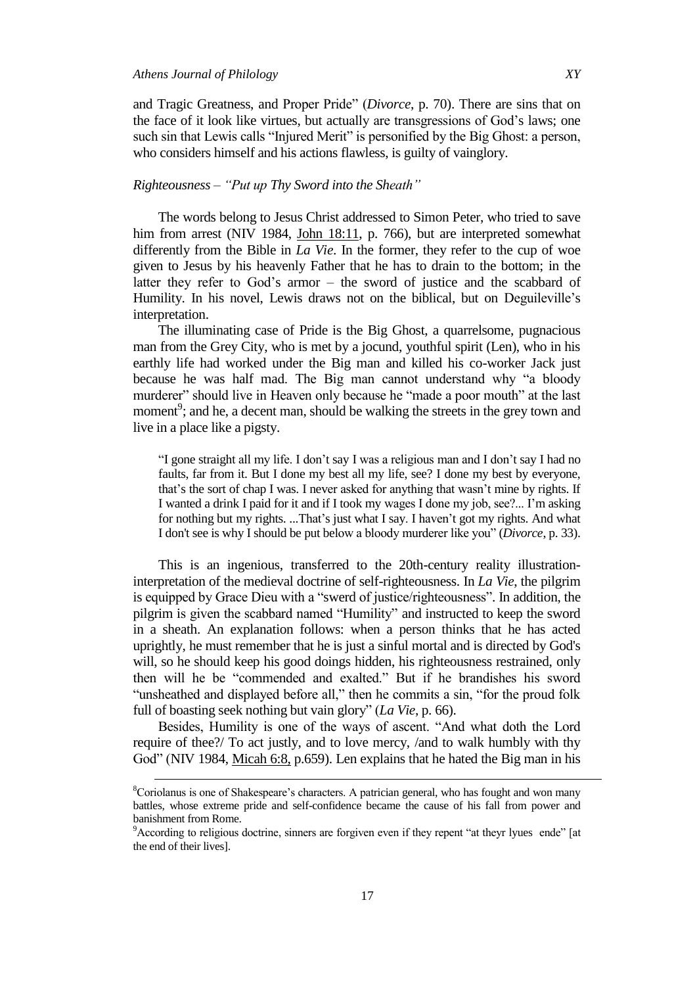$\overline{\phantom{a}}$ 

and Tragic Greatness, and Proper Pride" (*Divorce*, p. 70). There are sins that on the face of it look like virtues, but actually are transgressions of God's laws; one such sin that Lewis calls "Injured Merit" is personified by the Big Ghost: a person, who considers himself and his actions flawless, is guilty of vainglory.

## *Righteousness – "Put up Thy Sword into the Sheath"*

The words belong to Jesus Christ addressed to Simon Peter, who tried to save him from arrest (NIV 1984, John 18:11, p. 766), but are interpreted somewhat differently from the Bible in *La Vie*. In the former, they refer to the cup of woe given to Jesus by his heavenly Father that he has to drain to the bottom; in the latter they refer to God's armor – the sword of justice and the scabbard of Humility. In his novel, Lewis draws not on the biblical, but on Deguileville's interpretation.

The illuminating case of Pride is the Big Ghost, a quarrelsome, pugnacious man from the Grey City, who is met by a jocund, youthful spirit (Len), who in his earthly life had worked under the Big man and killed his co-worker Jack just because he was half mad. The Big man cannot understand why "a bloody murderer" should live in Heaven only because he "made a poor mouth" at the last moment<sup>9</sup>; and he, a decent man, should be walking the streets in the grey town and live in a place like a pigsty.

"I gone straight all my life. I don't say I was a religious man and I don't say I had no faults, far from it. But I done my best all my life, see? I done my best by everyone, that's the sort of chap I was. I never asked for anything that wasn't mine by rights. If I wanted a drink I paid for it and if I took my wages I done my job, see?... I'm asking for nothing but my rights. ...That's just what I say. I haven't got my rights. And what I don't see is why I should be put below a bloody murderer like you" (*Divorce*, p. 33).

This is an ingenious, transferred to the 20th-century reality illustrationinterpretation of the medieval doctrine of self-righteousness. In *La Vie*, the pilgrim is equipped by Grace Dieu with a "swerd of justice/righteousness". In addition, the pilgrim is given the scabbard named "Humility" and instructed to keep the sword in a sheath. An explanation follows: when a person thinks that he has acted uprightly, he must remember that he is just a sinful mortal and is directed by God's will, so he should keep his good doings hidden, his righteousness restrained, only then will he be "commended and exalted." But if he brandishes his sword "unsheathed and displayed before all," then he commits a sin, "for the proud folk full of boasting seek nothing but vain glory" (*La Vie*, p. 66).

Besides, Humility is one of the ways of ascent. "And what doth the Lord require of thee?/ To act justly, and to love mercy, /and to walk humbly with thy God" (NIV 1984, Micah 6:8, p.659). Len explains that he hated the Big man in his

<sup>8</sup>Coriolanus is one of Shakespeare's characters. A patrician general, who has fought and won many battles, whose extreme pride and self-confidence became the cause of his fall from power and banishment from Rome.

<sup>&</sup>lt;sup>9</sup>According to religious doctrine, sinners are forgiven even if they repent "at theyr lyues ende" [at the end of their lives].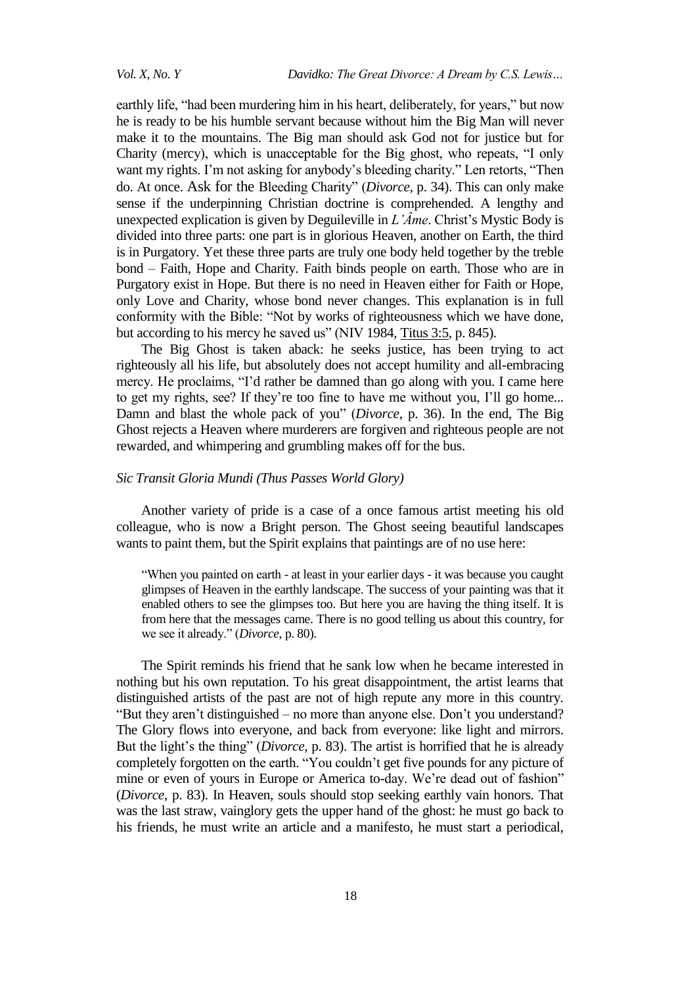earthly life, "had been murdering him in his heart, deliberately, for years," but now he is ready to be his humble servant because without him the Big Man will never make it to the mountains. The Big man should ask God not for justice but for Charity (mercy), which is unacceptable for the Big ghost, who repeats, "I only want my rights. I'm not asking for anybody's bleeding charity." Len retorts, "Then do. At once. Ask for the Bleeding Charity‖ (*Divorce*, p. 34). This can only make sense if the underpinning Christian doctrine is comprehended. A lengthy and unexpected explication is given by Deguileville in *L'Âme*. Christ's Mystic Body is divided into three parts: one part is in glorious Heaven, another on Earth, the third is in Purgatory. Yet these three parts are truly one body held together by the treble bond – Faith, Hope and Charity. Faith binds people on earth. Those who are in Purgatory exist in Hope. But there is no need in Heaven either for Faith or Hope, only Love and Charity, whose bond never changes. This explanation is in full conformity with the Bible: "Not by works of righteousness which we have done, but according to his mercy he saved us" (NIV 1984, Titus 3:5, p. 845).

The Big Ghost is taken aback: he seeks justice, has been trying to act righteously all his life, but absolutely does not accept humility and all-embracing mercy. He proclaims, "I'd rather be damned than go along with you. I came here to get my rights, see? If they're too fine to have me without you, I'll go home... Damn and blast the whole pack of you" (*Divorce*, p. 36). In the end, The Big Ghost rejects a Heaven where murderers are forgiven and righteous people are not rewarded, and whimpering and grumbling makes off for the bus.

#### *Sic Transit Gloria Mundi (Thus Passes World Glory)*

Another variety of pride is a case of a once famous artist meeting his old colleague, who is now a Bright person. The Ghost seeing beautiful landscapes wants to paint them, but the Spirit explains that paintings are of no use here:

―When you painted on earth - at least in your earlier days - it was because you caught glimpses of Heaven in the earthly landscape. The success of your painting was that it enabled others to see the glimpses too. But here you are having the thing itself. It is from here that the messages came. There is no good telling us about this country, for we see it already." (*Divorce*, p. 80).

The Spirit reminds his friend that he sank low when he became interested in nothing but his own reputation. To his great disappointment, the artist learns that distinguished artists of the past are not of high repute any more in this country. "But they aren't distinguished – no more than anyone else. Don't you understand? The Glory flows into everyone, and back from everyone: like light and mirrors. But the light's the thing" (*Divorce*, p. 83). The artist is horrified that he is already completely forgotten on the earth. "You couldn't get five pounds for any picture of mine or even of yours in Europe or America to-day. We're dead out of fashion" (*Divorce*, p. 83). In Heaven, souls should stop seeking earthly vain honors. That was the last straw, vainglory gets the upper hand of the ghost: he must go back to his friends, he must write an article and a manifesto, he must start a periodical,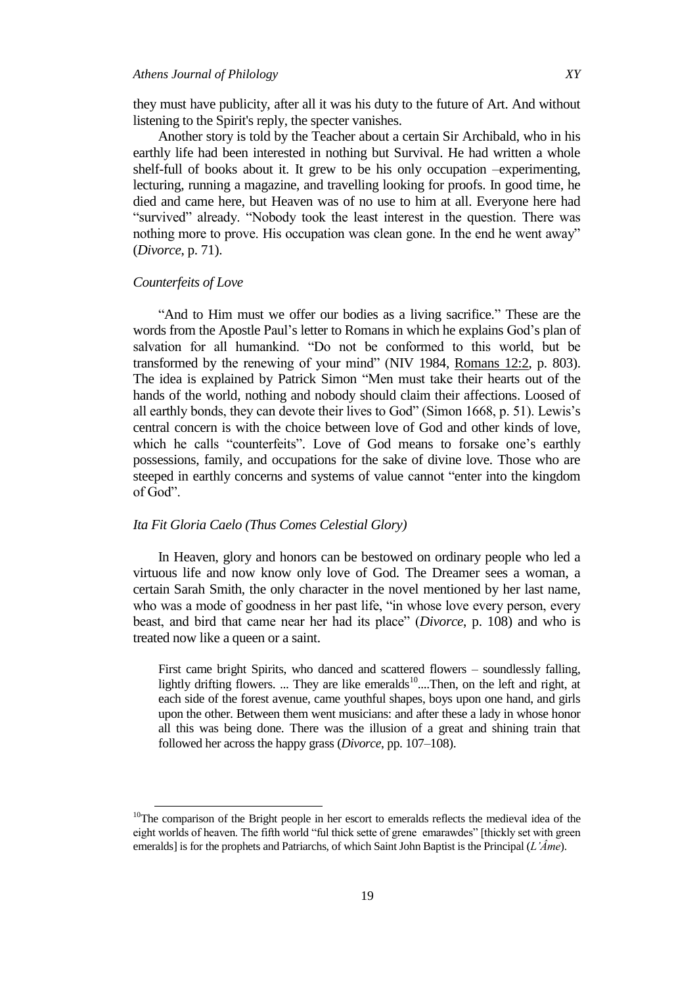they must have publicity, after all it was his duty to the future of Art. And without listening to the Spirit's reply, the specter vanishes.

Another story is told by the Teacher about a certain Sir Archibald, who in his earthly life had been interested in nothing but Survival. He had written a whole shelf-full of books about it. It grew to be his only occupation –experimenting, lecturing, running a magazine, and travelling looking for proofs. In good time, he died and came here, but Heaven was of no use to him at all. Everyone here had "survived" already. "Nobody took the least interest in the question. There was nothing more to prove. His occupation was clean gone. In the end he went away" (*Divorce*, p. 71).

# *Counterfeits of Love*

 $\overline{\phantom{a}}$ 

"And to Him must we offer our bodies as a living sacrifice." These are the words from the Apostle Paul's letter to Romans in which he explains God's plan of salvation for all humankind. "Do not be conformed to this world, but be transformed by the renewing of your mind" (NIV 1984, Romans 12:2, p. 803). The idea is explained by Patrick Simon "Men must take their hearts out of the hands of the world, nothing and nobody should claim their affections. Loosed of all earthly bonds, they can devote their lives to God" (Simon  $1668$ , p. 51). Lewis's central concern is with the choice between love of God and other kinds of love, which he calls "counterfeits". Love of God means to forsake one's earthly possessions, family, and occupations for the sake of divine love. Those who are steeped in earthly concerns and systems of value cannot "enter into the kingdom of God".

#### *Ita Fit Gloria Caelo (Thus Comes Celestial Glory)*

In Heaven, glory and honors can be bestowed on ordinary people who led a virtuous life and now know only love of God. The Dreamer sees a woman, a certain Sarah Smith, the only character in the novel mentioned by her last name, who was a mode of goodness in her past life, "in whose love every person, every beast, and bird that came near her had its place‖ (*Divorce*, p. 108) and who is treated now like a queen or a saint.

First came bright Spirits, who danced and scattered flowers – soundlessly falling, lightly drifting flowers. ... They are like emeralds<sup>10</sup>....Then, on the left and right, at each side of the forest avenue, came youthful shapes, boys upon one hand, and girls upon the other. Between them went musicians: and after these a lady in whose honor all this was being done. There was the illusion of a great and shining train that followed her across the happy grass (*Divorce*, pp. 107–108).

 $10$ The comparison of the Bright people in her escort to emeralds reflects the medieval idea of the eight worlds of heaven. The fifth world "ful thick sette of grene emarawdes" [thickly set with green emeralds] is for the prophets and Patriarchs, of which Saint John Baptist is the Principal (*L'Âme*).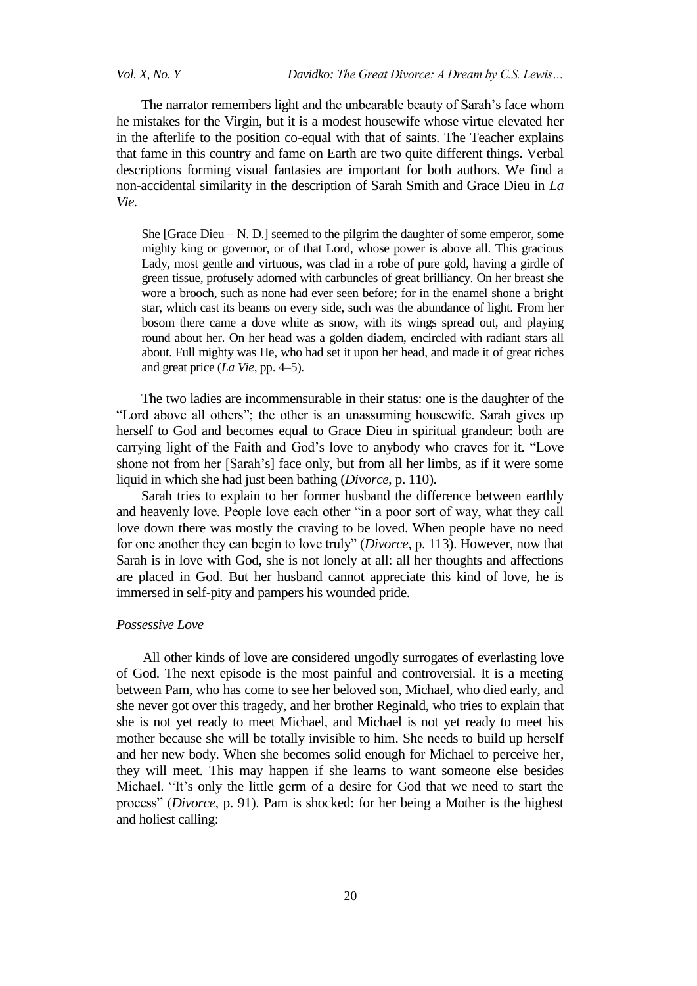*Vol. X, No. Y Davidko: The Great Divorce: A Dream by C.S. Lewis…*

The narrator remembers light and the unbearable beauty of Sarah's face whom he mistakes for the Virgin, but it is a modest housewife whose virtue elevated her in the afterlife to the position co-equal with that of saints. The Teacher explains that fame in this country and fame on Earth are two quite different things. Verbal descriptions forming visual fantasies are important for both authors. We find a non-accidental similarity in the description of Sarah Smith and Grace Dieu in *La Vie.*

She [Grace Dieu – N. D.] seemed to the pilgrim the daughter of some emperor, some mighty king or governor, or of that Lord, whose power is above all. This gracious Lady, most gentle and virtuous, was clad in a robe of pure gold, having a girdle of green tissue, profusely adorned with carbuncles of great brilliancy. On her breast she wore a brooch, such as none had ever seen before; for in the enamel shone a bright star, which cast its beams on every side, such was the abundance of light. From her bosom there came a dove white as snow, with its wings spread out, and playing round about her. On her head was a golden diadem, encircled with radiant stars all about. Full mighty was He, who had set it upon her head, and made it of great riches and great price (*La Vie*, pp. 4–5).

The two ladies are incommensurable in their status: one is the daughter of the ―Lord above all others‖; the other is an unassuming housewife. Sarah gives up herself to God and becomes equal to Grace Dieu in spiritual grandeur: both are carrying light of the Faith and God's love to anybody who craves for it. "Love shone not from her [Sarah's] face only, but from all her limbs, as if it were some liquid in which she had just been bathing (*Divorce*, p. 110).

Sarah tries to explain to her former husband the difference between earthly and heavenly love. People love each other "in a poor sort of way, what they call love down there was mostly the craving to be loved. When people have no need for one another they can begin to love truly" (*Divorce*, p. 113). However, now that Sarah is in love with God, she is not lonely at all: all her thoughts and affections are placed in God. But her husband cannot appreciate this kind of love, he is immersed in self-pity and pampers his wounded pride.

#### *Possessive Love*

All other kinds of love are considered ungodly surrogates of everlasting love of God. The next episode is the most painful and controversial. It is a meeting between Pam, who has come to see her beloved son, Michael, who died early, and she never got over this tragedy, and her brother Reginald, who tries to explain that she is not yet ready to meet Michael, and Michael is not yet ready to meet his mother because she will be totally invisible to him. She needs to build up herself and her new body. When she becomes solid enough for Michael to perceive her, they will meet. This may happen if she learns to want someone else besides Michael. "It's only the little germ of a desire for God that we need to start the process‖ (*Divorce*, p. 91). Pam is shocked: for her being a Mother is the highest and holiest calling: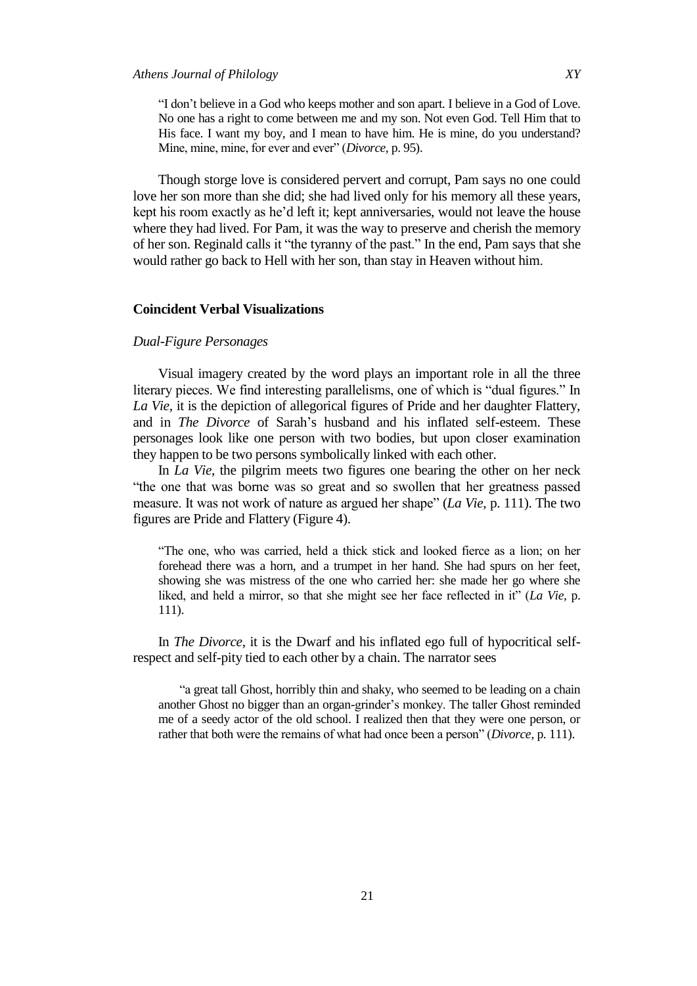"I don't believe in a God who keeps mother and son apart. I believe in a God of Love. No one has a right to come between me and my son. Not even God. Tell Him that to His face. I want my boy, and I mean to have him. He is mine, do you understand? Mine, mine, mine, for ever and ever" (*Divorce*, p. 95).

Though storge love is considered pervert and corrupt, Pam says no one could love her son more than she did; she had lived only for his memory all these years, kept his room exactly as he'd left it; kept anniversaries, would not leave the house where they had lived. For Pam, it was the way to preserve and cherish the memory of her son. Reginald calls it "the tyranny of the past." In the end, Pam says that she would rather go back to Hell with her son, than stay in Heaven without him.

## **Coincident Verbal Visualizations**

#### *Dual-Figure Personages*

Visual imagery created by the word plays an important role in all the three literary pieces. We find interesting parallelisms, one of which is "dual figures." In *La Vie*, it is the depiction of allegorical figures of Pride and her daughter Flattery, and in *The Divorce* of Sarah's husband and his inflated self-esteem. These personages look like one person with two bodies, but upon closer examination they happen to be two persons symbolically linked with each other.

In *La Vie*, the pilgrim meets two figures one bearing the other on her neck "the one that was borne was so great and so swollen that her greatness passed measure. It was not work of nature as argued her shape" (*La Vie*, p. 111). The two figures are Pride and Flattery (Figure 4).

―The one, who was carried, held a thick stick and looked fierce as a lion; on her forehead there was a horn, and a trumpet in her hand. She had spurs on her feet, showing she was mistress of the one who carried her: she made her go where she liked, and held a mirror, so that she might see her face reflected in it" (*La Vie*, p. 111).

In *The Divorce*, it is the Dwarf and his inflated ego full of hypocritical selfrespect and self-pity tied to each other by a chain. The narrator sees

"a great tall Ghost, horribly thin and shaky, who seemed to be leading on a chain another Ghost no bigger than an organ-grinder's monkey. The taller Ghost reminded me of a seedy actor of the old school. I realized then that they were one person, or rather that both were the remains of what had once been a person" (*Divorce*, p. 111).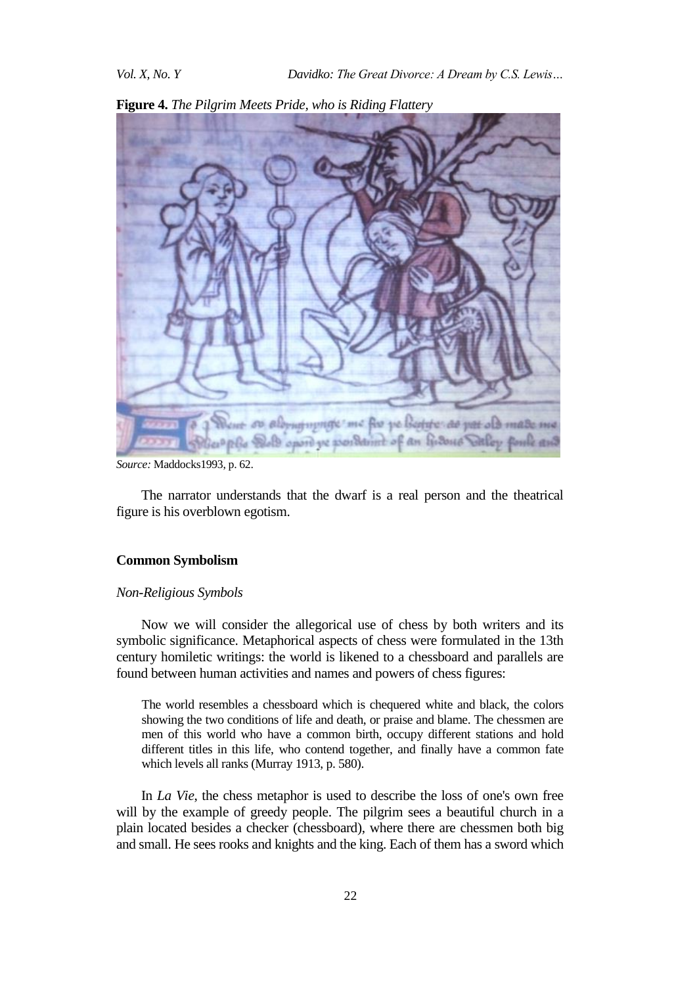

**Figure 4.** *The Pilgrim Meets Pride, who is Riding Flattery*

The narrator understands that the dwarf is a real person and the theatrical figure is his overblown egotism.

#### **Common Symbolism**

#### *Non-Religious Symbols*

Now we will consider the allegorical use of chess by both writers and its symbolic significance. Metaphorical aspects of chess were formulated in the 13th century homiletic writings: the world is likened to a chessboard and parallels are found between human activities and names and powers of chess figures:

The world resembles a chessboard which is chequered white and black, the colors showing the two conditions of life and death, or praise and blame. The chessmen are men of this world who have a common birth, occupy different stations and hold different titles in this life, who contend together, and finally have a common fate which levels all ranks (Murray 1913, p. 580).

In *La Vie*, the chess metaphor is used to describe the loss of one's own free will by the example of greedy people. The pilgrim sees a beautiful church in a plain located besides a checker (chessboard), where there are chessmen both big and small. He sees rooks and knights and the king. Each of them has a sword which

*Source:* Maddocks1993, p. 62.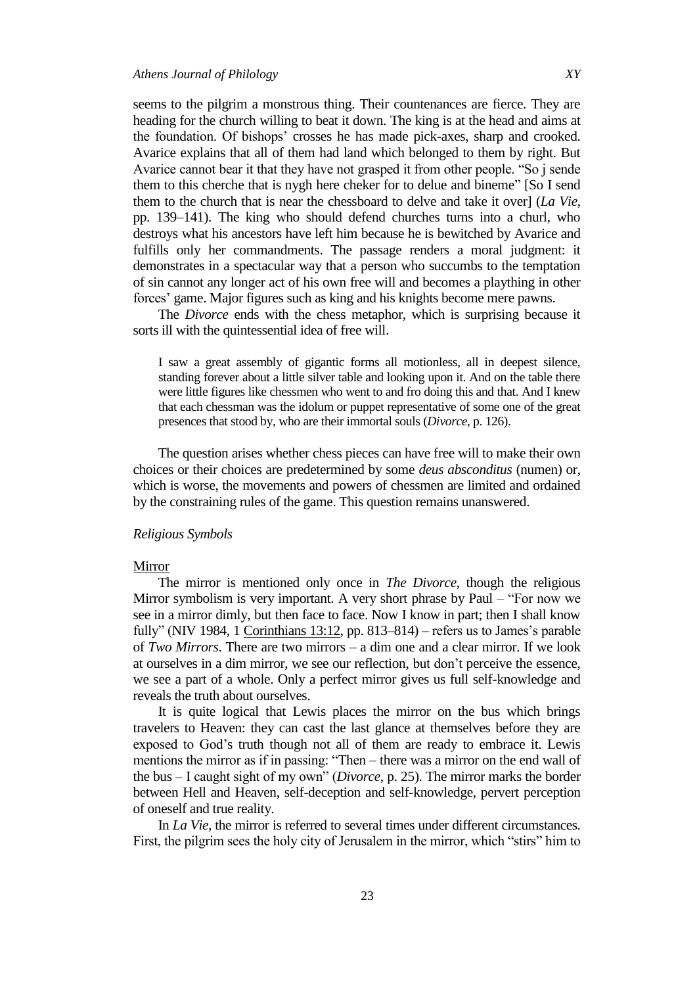seems to the pilgrim a monstrous thing. Their countenances are fierce. They are heading for the church willing to beat it down. The king is at the head and aims at the foundation. Of bishops' crosses he has made pick-axes, sharp and crooked. Avarice explains that all of them had land which belonged to them by right. But Avarice cannot bear it that they have not grasped it from other people. "So j sende them to this cherche that is nygh here cheker for to delue and bineme" [So I send them to the church that is near the chessboard to delve and take it over] (*La Vie*, pp. 139–141). The king who should defend churches turns into a churl, who destroys what his ancestors have left him because he is bewitched by Avarice and fulfills only her commandments. The passage renders a moral judgment: it demonstrates in a spectacular way that a person who succumbs to the temptation of sin cannot any longer act of his own free will and becomes a plaything in other forces' game. Major figures such as king and his knights become mere pawns.

The *Divorce* ends with the chess metaphor, which is surprising because it sorts ill with the quintessential idea of free will.

I saw a great assembly of gigantic forms all motionless, all in deepest silence, standing forever about a little silver table and looking upon it. And on the table there were little figures like chessmen who went to and fro doing this and that. And I knew that each chessman was the idolum or puppet representative of some one of the great presences that stood by, who are their immortal souls (*Divorce*, p. 126).

The question arises whether chess pieces can have free will to make their own choices or their choices are predetermined by some *deus absconditus* (numen) or, which is worse, the movements and powers of chessmen are limited and ordained by the constraining rules of the game. This question remains unanswered.

#### *Religious Symbols*

#### Mirror

The mirror is mentioned only once in *The Divorce*, though the religious Mirror symbolism is very important. A very short phrase by Paul – "For now we see in a mirror dimly, but then face to face. Now I know in part; then I shall know fully" (NIV 1984, 1 Corinthians 13:12, pp. 813–814) – refers us to James's parable of *Two Mirrors*. There are two mirrors – a dim one and a clear mirror. If we look at ourselves in a dim mirror, we see our reflection, but don't perceive the essence, we see a part of a whole. Only a perfect mirror gives us full self-knowledge and reveals the truth about ourselves.

It is quite logical that Lewis places the mirror on the bus which brings travelers to Heaven: they can cast the last glance at themselves before they are exposed to God's truth though not all of them are ready to embrace it. Lewis mentions the mirror as if in passing: "Then – there was a mirror on the end wall of the bus – I caught sight of my own" (*Divorce*, p. 25). The mirror marks the border between Hell and Heaven, self-deception and self-knowledge, pervert perception of oneself and true reality.

In *La Vie,* the mirror is referred to several times under different circumstances. First, the pilgrim sees the holy city of Jerusalem in the mirror, which "stirs" him to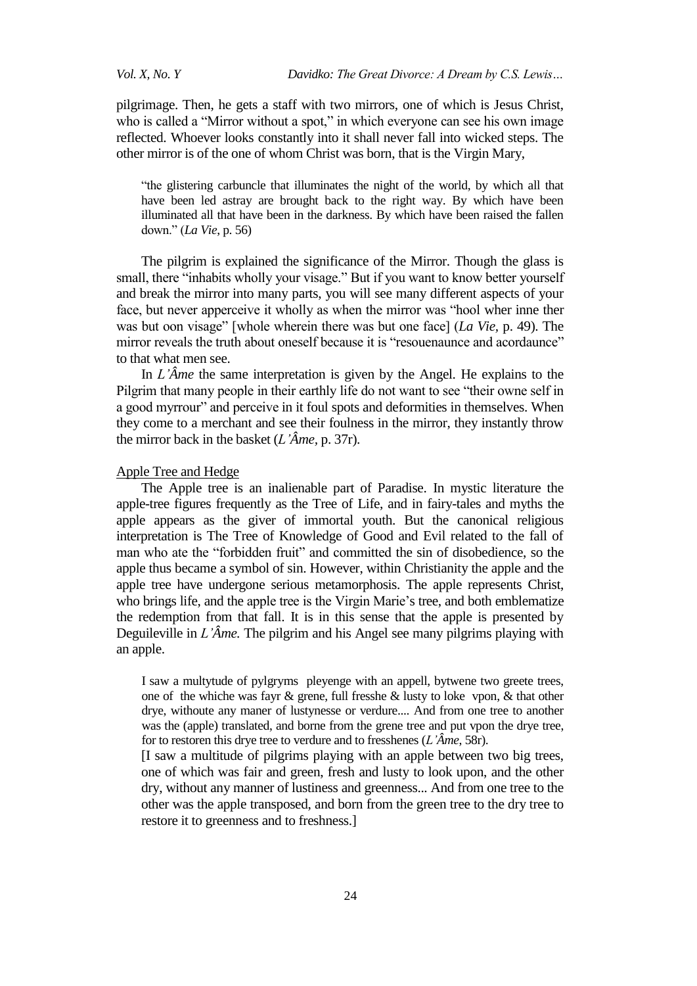pilgrimage. Then, he gets a staff with two mirrors, one of which is Jesus Christ, who is called a "Mirror without a spot," in which everyone can see his own image reflected. Whoever looks constantly into it shall never fall into wicked steps. The other mirror is of the one of whom Christ was born, that is the Virgin Mary,

"the glistering carbuncle that illuminates the night of the world, by which all that have been led astray are brought back to the right way. By which have been illuminated all that have been in the darkness. By which have been raised the fallen down.‖ (*La Vie*, p. 56)

The pilgrim is explained the significance of the Mirror. Though the glass is small, there "inhabits wholly your visage." But if you want to know better yourself and break the mirror into many parts, you will see many different aspects of your face, but never apperceive it wholly as when the mirror was "hool wher inne ther was but oon visage" [whole wherein there was but one face] (*La Vie*, p. 49). The mirror reveals the truth about oneself because it is "resouenaunce and acordaunce" to that what men see.

In *L'Âme* the same interpretation is given by the Angel. He explains to the Pilgrim that many people in their earthly life do not want to see "their owne self in a good myrrour" and perceive in it foul spots and deformities in themselves. When they come to a merchant and see their foulness in the mirror, they instantly throw the mirror back in the basket (*L'Âme,* p. 37r).

## Apple Tree and Hedge

The Apple tree is an inalienable part of Paradise. In mystic literature the apple-tree figures frequently as the Tree of Life, and in fairy-tales and myths the apple appears as the giver of immortal youth. But the canonical religious interpretation is The Tree of Knowledge of Good and Evil related to the fall of man who ate the "forbidden fruit" and committed the sin of disobedience, so the apple thus became a symbol of sin. However, within Christianity the apple and the apple tree have undergone serious metamorphosis. The apple represents Christ, who brings life, and the apple tree is the Virgin Marie's tree, and both emblematize the redemption from that fall. It is in this sense that the apple is presented by Deguileville in *L'Âme.* The pilgrim and his Angel see many pilgrims playing with an apple.

I saw a multytude of pylgryms pleyenge with an appell, bytwene two greete trees, one of the whiche was fayr & grene, full fresshe & lusty to loke vpon, & that other drye, withoute any maner of lustynesse or verdure.... And from one tree to another was the (apple) translated, and borne from the grene tree and put vpon the drye tree, for to restoren this drye tree to verdure and to fresshenes (*L'Âme*, 58r).

[I saw a multitude of pilgrims playing with an apple between two big trees, one of which was fair and green, fresh and lusty to look upon, and the other dry, without any manner of lustiness and greenness... And from one tree to the other was the apple transposed, and born from the green tree to the dry tree to restore it to greenness and to freshness.]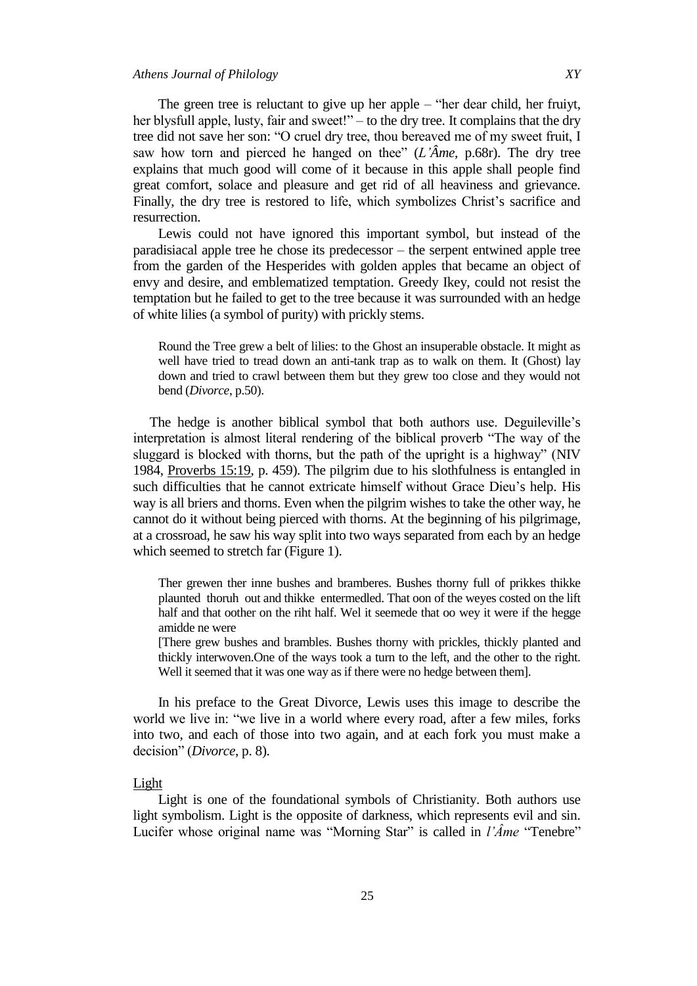The green tree is reluctant to give up her apple – "her dear child, her fruiyt, her blysfull apple, lusty, fair and sweet!" – to the dry tree. It complains that the dry tree did not save her son: "O cruel dry tree, thou bereaved me of my sweet fruit, I saw how torn and pierced he hanged on thee"  $(L'\hat{A}me, p.68r)$ . The dry tree explains that much good will come of it because in this apple shall people find great comfort, solace and pleasure and get rid of all heaviness and grievance. Finally, the dry tree is restored to life, which symbolizes Christ's sacrifice and resurrection.

Lewis could not have ignored this important symbol, but instead of the paradisiacal apple tree he chose its predecessor – the serpent entwined apple tree from the garden of the Hesperides with golden apples that became an object of envy and desire, and emblematized temptation. Greedy Ikey, could not resist the temptation but he failed to get to the tree because it was surrounded with an hedge of white lilies (a symbol of purity) with prickly stems.

Round the Tree grew a belt of lilies: to the Ghost an insuperable obstacle. It might as well have tried to tread down an anti-tank trap as to walk on them. It (Ghost) lay down and tried to crawl between them but they grew too close and they would not bend (*Divorce*, p.50).

The hedge is another biblical symbol that both authors use. Deguileville's interpretation is almost literal rendering of the biblical proverb "The way of the sluggard is blocked with thorns, but the path of the upright is a highway" (NIV 1984, Proverbs 15:19, p. 459). The pilgrim due to his slothfulness is entangled in such difficulties that he cannot extricate himself without Grace Dieu's help. His way is all briers and thorns. Even when the pilgrim wishes to take the other way, he cannot do it without being pierced with thorns. At the beginning of his pilgrimage, at a crossroad, he saw his way split into two ways separated from each by an hedge which seemed to stretch far (Figure 1).

Ther grewen ther inne bushes and bramberes. Bushes thorny full of prikkes thikke plaunted thoruh out and thikke entermedled. That oon of the weyes costed on the lift half and that oother on the riht half. Wel it seemede that oo wey it were if the hegge amidde ne were

[There grew bushes and brambles. Bushes thorny with prickles, thickly planted and thickly interwoven.One of the ways took a turn to the left, and the other to the right. Well it seemed that it was one way as if there were no hedge between them].

In his preface to the Great Divorce, Lewis uses this image to describe the world we live in: "we live in a world where every road, after a few miles, forks into two, and each of those into two again, and at each fork you must make a decision" (*Divorce*, p. 8).

#### Light

Light is one of the foundational symbols of Christianity. Both authors use light symbolism. Light is the opposite of darkness, which represents evil and sin. Lucifer whose original name was "Morning Star" is called in *l'Âme* "Tenebre"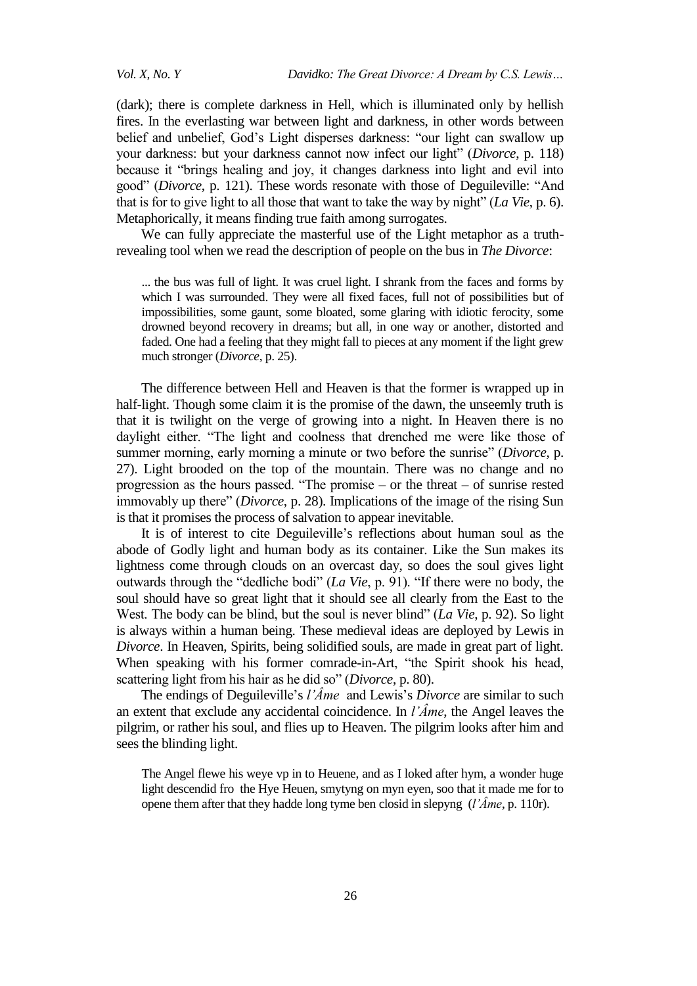(dark); there is complete darkness in Hell, which is illuminated only by hellish fires. In the everlasting war between light and darkness, in other words between belief and unbelief, God's Light disperses darkness: "our light can swallow up your darkness: but your darkness cannot now infect our light" (*Divorce*, p. 118) because it "brings healing and joy, it changes darkness into light and evil into good" (*Divorce*, p. 121). These words resonate with those of Deguileville: "And that is for to give light to all those that want to take the way by night" ( $La Vie$ , p. 6). Metaphorically, it means finding true faith among surrogates.

We can fully appreciate the masterful use of the Light metaphor as a truthrevealing tool when we read the description of people on the bus in *The Divorce*:

... the bus was full of light. It was cruel light. I shrank from the faces and forms by which I was surrounded. They were all fixed faces, full not of possibilities but of impossibilities, some gaunt, some bloated, some glaring with idiotic ferocity, some drowned beyond recovery in dreams; but all, in one way or another, distorted and faded. One had a feeling that they might fall to pieces at any moment if the light grew much stronger (*Divorce*, p. 25).

The difference between Hell and Heaven is that the former is wrapped up in half-light. Though some claim it is the promise of the dawn, the unseemly truth is that it is twilight on the verge of growing into a night. In Heaven there is no daylight either. "The light and coolness that drenched me were like those of summer morning, early morning a minute or two before the sunrise" (*Divorce*, p. 27). Light brooded on the top of the mountain. There was no change and no progression as the hours passed. "The promise – or the threat – of sunrise rested immovably up there" (*Divorce*, p. 28). Implications of the image of the rising Sun is that it promises the process of salvation to appear inevitable.

It is of interest to cite Deguileville's reflections about human soul as the abode of Godly light and human body as its container. Like the Sun makes its lightness come through clouds on an overcast day, so does the soul gives light outwards through the "dedliche bodi" (*La Vie*, p. 91). "If there were no body, the soul should have so great light that it should see all clearly from the East to the West. The body can be blind, but the soul is never blind" (*La Vie*, p. 92). So light is always within a human being. These medieval ideas are deployed by Lewis in *Divorce*. In Heaven, Spirits, being solidified souls, are made in great part of light. When speaking with his former comrade-in-Art, "the Spirit shook his head, scattering light from his hair as he did so" (*Divorce*, p. 80).

The endings of Deguileville's *l'Âme* and Lewis's *Divorce* are similar to such an extent that exclude any accidental coincidence. In *l'Âme*, the Angel leaves the pilgrim, or rather his soul, and flies up to Heaven. The pilgrim looks after him and sees the blinding light.

The Angel flewe his weye vp in to Heuene, and as I loked after hym, a wonder huge light descendid fro the Hye Heuen, smytyng on myn eyen, soo that it made me for to opene them after that they hadde long tyme ben closid in slepyng (*l'Âme*, p. 110r).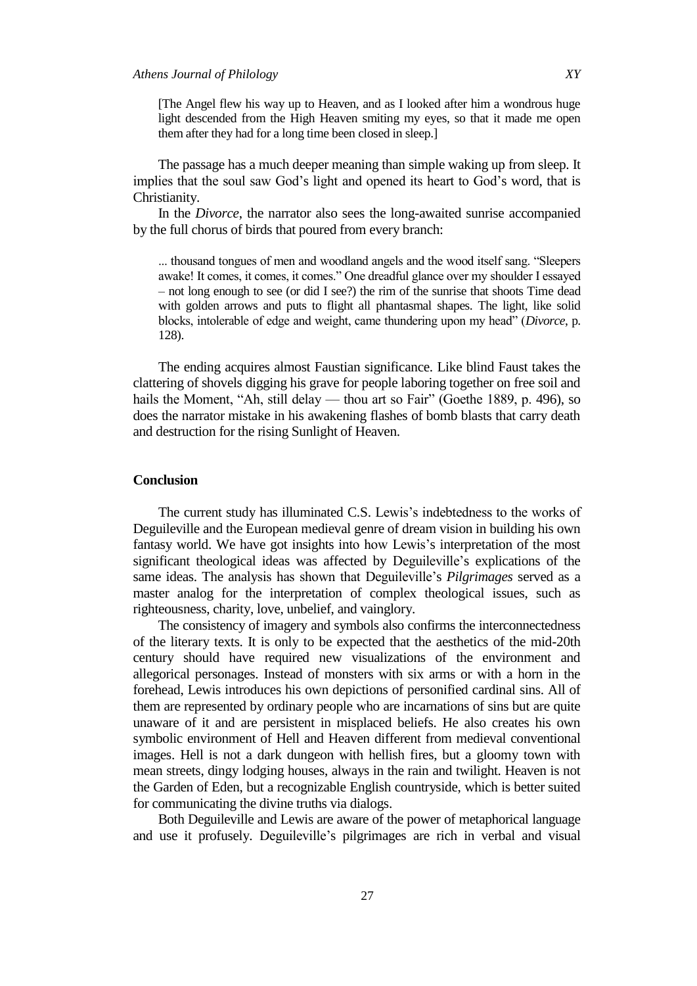[The Angel flew his way up to Heaven, and as I looked after him a wondrous huge light descended from the High Heaven smiting my eyes, so that it made me open them after they had for a long time been closed in sleep.]

The passage has a much deeper meaning than simple waking up from sleep. It implies that the soul saw God's light and opened its heart to God's word, that is Christianity.

In the *Divorce*, the narrator also sees the long-awaited sunrise accompanied by the full chorus of birds that poured from every branch:

... thousand tongues of men and woodland angels and the wood itself sang. "Sleepers" awake! It comes, it comes, it comes." One dreadful glance over my shoulder I essayed – not long enough to see (or did I see?) the rim of the sunrise that shoots Time dead with golden arrows and puts to flight all phantasmal shapes. The light, like solid blocks, intolerable of edge and weight, came thundering upon my head" (*Divorce*, p. 128).

The ending acquires almost Faustian significance. Like blind Faust takes the clattering of shovels digging his grave for people laboring together on free soil and hails the Moment, "Ah, still delay — thou art so Fair" (Goethe 1889, p. 496), so does the narrator mistake in his awakening flashes of bomb blasts that carry death and destruction for the rising Sunlight of Heaven.

## **Conclusion**

The current study has illuminated C.S. Lewis's indebtedness to the works of Deguileville and the European medieval genre of dream vision in building his own fantasy world. We have got insights into how Lewis's interpretation of the most significant theological ideas was affected by Deguileville's explications of the same ideas. The analysis has shown that Deguileville's *Pilgrimages* served as a master analog for the interpretation of complex theological issues, such as righteousness, charity, love, unbelief, and vainglory.

The consistency of imagery and symbols also confirms the interconnectedness of the literary texts. It is only to be expected that the aesthetics of the mid-20th century should have required new visualizations of the environment and allegorical personages. Instead of monsters with six arms or with a horn in the forehead, Lewis introduces his own depictions of personified cardinal sins. All of them are represented by ordinary people who are incarnations of sins but are quite unaware of it and are persistent in misplaced beliefs. He also creates his own symbolic environment of Hell and Heaven different from medieval conventional images. Hell is not a dark dungeon with hellish fires, but a gloomy town with mean streets, dingy lodging houses, always in the rain and twilight. Heaven is not the Garden of Eden, but a recognizable English countryside, which is better suited for communicating the divine truths via dialogs.

Both Deguileville and Lewis are aware of the power of metaphorical language and use it profusely. Deguileville's pilgrimages are rich in verbal and visual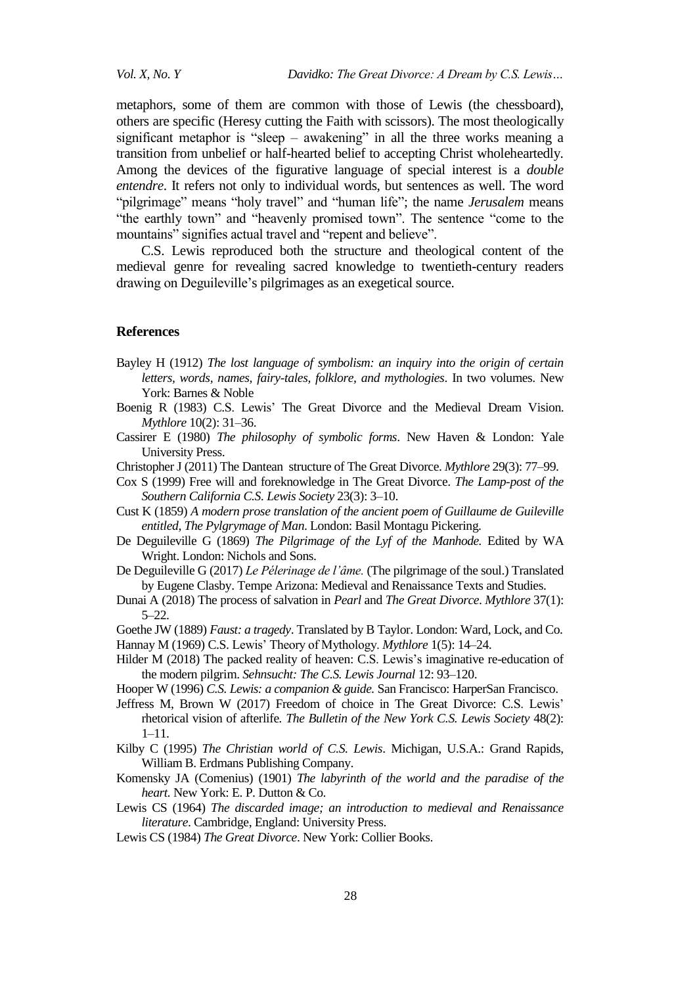metaphors, some of them are common with those of Lewis (the chessboard), others are specific (Heresy cutting the Faith with scissors). The most theologically significant metaphor is "sleep – awakening" in all the three works meaning a transition from unbelief or half-hearted belief to accepting Christ wholeheartedly. Among the devices of the figurative language of special interest is a *double entendre*. It refers not only to individual words, but sentences as well. The word "pilgrimage" means "holy travel" and "human life"; the name *Jerusalem* means "the earthly town" and "heavenly promised town". The sentence "come to the mountains" signifies actual travel and "repent and believe".

C.S. Lewis reproduced both the structure and theological content of the medieval genre for revealing sacred knowledge to twentieth-century readers drawing on Deguileville's pilgrimages as an exegetical source.

#### **References**

- Bayley H (1912) *The lost language of symbolism: an inquiry into the origin of certain letters, words, names, fairy-tales, folklore, and mythologies*. In two volumes. New York: Barnes & Noble
- Boenig R (1983) C.S. Lewis' The Great Divorce and the Medieval Dream Vision. *Mythlore* 10(2): 31–36.
- Cassirer E (1980) *The philosophy of symbolic forms*. New Haven & London: Yale University Press.
- Christopher J (2011) The Dantean structure of The Great Divorce. *Mythlore* 29(3): 77–99.
- Cox S (1999) Free will and foreknowledge in The Great Divorce. *The Lamp-post of the Southern California C.S. Lewis Society* 23(3): 3–10.
- Cust K (1859) *A modern prose translation of the ancient poem of Guillaume de Guileville entitled, The Pylgrymage of Man*. London: Basil Montagu Pickering.
- De Deguileville G (1869) *The Pilgrimage of the Lyf of the Manhode.* Edited by WA Wright. London: Nichols and Sons.
- De Deguileville G (2017) *Le Pélerinage de l'âme.* (The pilgrimage of the soul.) Translated by Eugene Clasby. Tempe Arizona: Medieval and Renaissance Texts and Studies.
- Dunai A (2018) The process of salvation in *Pearl* and *The Great Divorce*. *Mythlore* 37(1): 5–22.
- Goethe JW (1889) *Faust: a tragedy*. Translated by B Taylor. London: Ward, Lock, and Co. Hannay M (1969) C.S. Lewis' Theory of Mythology. *Mythlore* 1(5): 14–24.
- Hilder M (2018) The packed reality of heaven: C.S. Lewis's imaginative re-education of the modern pilgrim. *Sehnsucht: The C.S. Lewis Journal* 12: 93–120.
- Hooper W (1996) *C.S. Lewis: a companion & guide.* San Francisco: HarperSan Francisco.
- Jeffress M, Brown W (2017) Freedom of choice in The Great Divorce: C.S. Lewis' rhetorical vision of afterlife*. The Bulletin of the New York C.S. Lewis Society* 48(2): 1–11.
- Kilby C (1995) *The Christian world of C.S. Lewis*. Michigan, U.S.A.: Grand Rapids, William B. Erdmans Publishing Company.
- Komensky JA (Comenius) (1901) *The labyrinth of the world and the paradise of the heart.* New York: E. P. Dutton & Co.
- Lewis CS (1964) *The discarded image; an introduction to medieval and Renaissance literature*. Cambridge, England: University Press.
- Lewis CS (1984) *The Great Divorce*. New York: Collier Books.